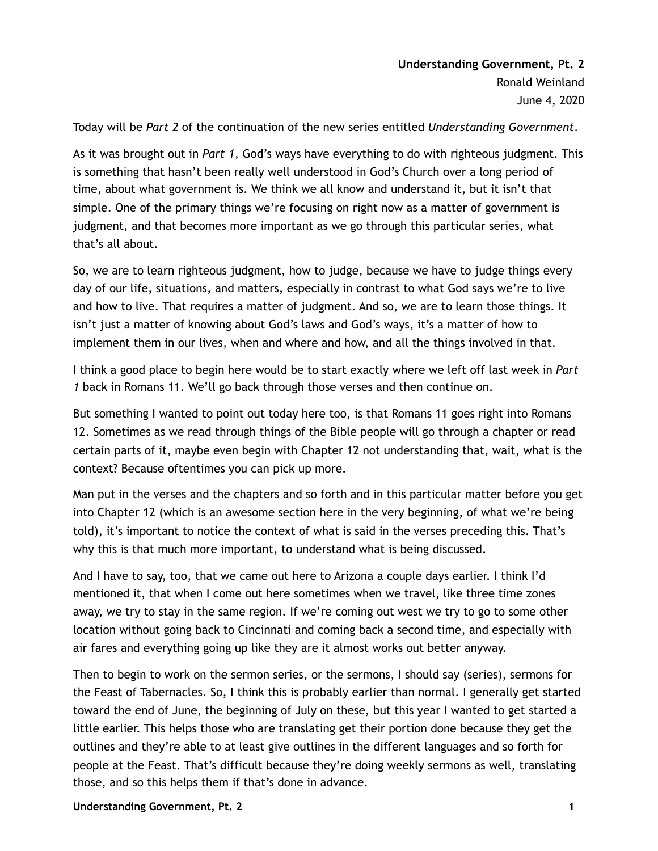Today will be *Part 2* of the continuation of the new series entitled *Understanding Government*.

As it was brought out in *Part 1,* God's ways have everything to do with righteous judgment. This is something that hasn't been really well understood in God's Church over a long period of time, about what government is. We think we all know and understand it, but it isn't that simple. One of the primary things we're focusing on right now as a matter of government is judgment, and that becomes more important as we go through this particular series, what that's all about.

So, we are to learn righteous judgment, how to judge, because we have to judge things every day of our life, situations, and matters, especially in contrast to what God says we're to live and how to live. That requires a matter of judgment. And so, we are to learn those things. It isn't just a matter of knowing about God's laws and God's ways, it's a matter of how to implement them in our lives, when and where and how, and all the things involved in that.

I think a good place to begin here would be to start exactly where we left off last week in *Part 1* back in Romans 11. We'll go back through those verses and then continue on.

But something I wanted to point out today here too, is that Romans 11 goes right into Romans 12. Sometimes as we read through things of the Bible people will go through a chapter or read certain parts of it, maybe even begin with Chapter 12 not understanding that, wait, what is the context? Because oftentimes you can pick up more.

Man put in the verses and the chapters and so forth and in this particular matter before you get into Chapter 12 (which is an awesome section here in the very beginning, of what we're being told), it's important to notice the context of what is said in the verses preceding this. That's why this is that much more important, to understand what is being discussed.

And I have to say, too, that we came out here to Arizona a couple days earlier. I think I'd mentioned it, that when I come out here sometimes when we travel, like three time zones away, we try to stay in the same region. If we're coming out west we try to go to some other location without going back to Cincinnati and coming back a second time, and especially with air fares and everything going up like they are it almost works out better anyway.

Then to begin to work on the sermon series, or the sermons, I should say (series), sermons for the Feast of Tabernacles. So, I think this is probably earlier than normal. I generally get started toward the end of June, the beginning of July on these, but this year I wanted to get started a little earlier. This helps those who are translating get their portion done because they get the outlines and they're able to at least give outlines in the different languages and so forth for people at the Feast. That's difficult because they're doing weekly sermons as well, translating those, and so this helps them if that's done in advance.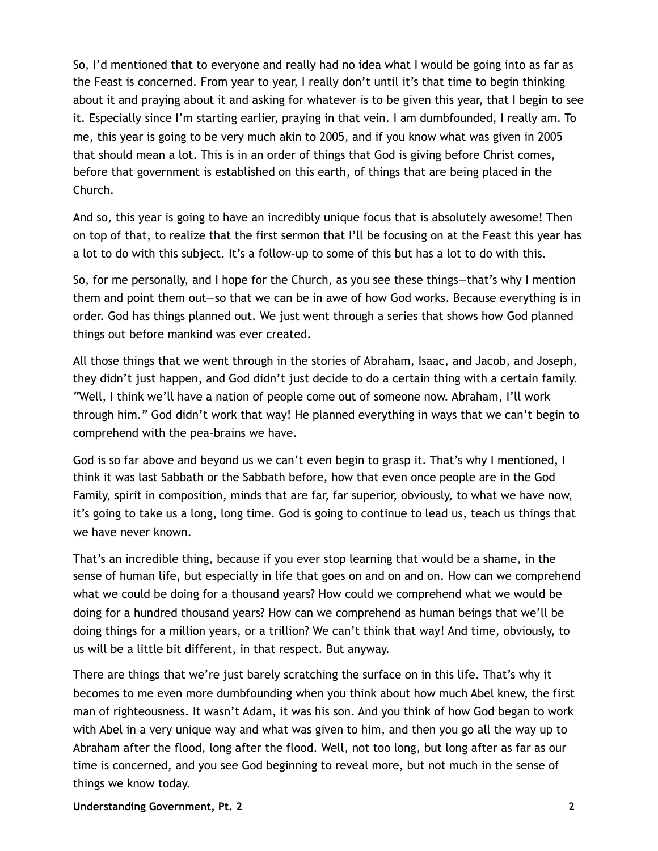So, I'd mentioned that to everyone and really had no idea what I would be going into as far as the Feast is concerned. From year to year, I really don't until it's that time to begin thinking about it and praying about it and asking for whatever is to be given this year, that I begin to see it. Especially since I'm starting earlier, praying in that vein. I am dumbfounded, I really am. To me, this year is going to be very much akin to 2005, and if you know what was given in 2005 that should mean a lot. This is in an order of things that God is giving before Christ comes, before that government is established on this earth, of things that are being placed in the Church.

And so, this year is going to have an incredibly unique focus that is absolutely awesome! Then on top of that, to realize that the first sermon that I'll be focusing on at the Feast this year has a lot to do with this subject. It's a follow-up to some of this but has a lot to do with this.

So, for me personally, and I hope for the Church, as you see these things—that's why I mention them and point them out—so that we can be in awe of how God works. Because everything is in order. God has things planned out. We just went through a series that shows how God planned things out before mankind was ever created.

All those things that we went through in the stories of Abraham, Isaac, and Jacob, and Joseph, they didn't just happen, and God didn't just decide to do a certain thing with a certain family. "Well, I think we'll have a nation of people come out of someone now. Abraham, I'll work through him." God didn't work that way! He planned everything in ways that we can't begin to comprehend with the pea-brains we have.

God is so far above and beyond us we can't even begin to grasp it. That's why I mentioned, I think it was last Sabbath or the Sabbath before, how that even once people are in the God Family, spirit in composition, minds that are far, far superior, obviously, to what we have now, it's going to take us a long, long time. God is going to continue to lead us, teach us things that we have never known.

That's an incredible thing, because if you ever stop learning that would be a shame, in the sense of human life, but especially in life that goes on and on and on. How can we comprehend what we could be doing for a thousand years? How could we comprehend what we would be doing for a hundred thousand years? How can we comprehend as human beings that we'll be doing things for a million years, or a trillion? We can't think that way! And time, obviously, to us will be a little bit different, in that respect. But anyway.

There are things that we're just barely scratching the surface on in this life. That's why it becomes to me even more dumbfounding when you think about how much Abel knew, the first man of righteousness. It wasn't Adam, it was his son. And you think of how God began to work with Abel in a very unique way and what was given to him, and then you go all the way up to Abraham after the flood, long after the flood. Well, not too long, but long after as far as our time is concerned, and you see God beginning to reveal more, but not much in the sense of things we know today.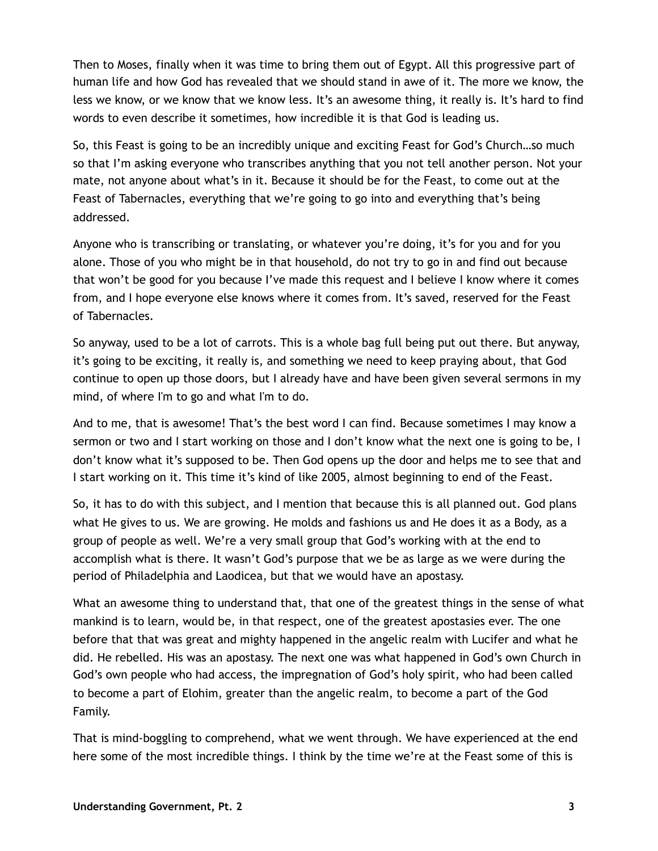Then to Moses, finally when it was time to bring them out of Egypt. All this progressive part of human life and how God has revealed that we should stand in awe of it. The more we know, the less we know, or we know that we know less. It's an awesome thing, it really is. It's hard to find words to even describe it sometimes, how incredible it is that God is leading us.

So, this Feast is going to be an incredibly unique and exciting Feast for God's Church…so much so that I'm asking everyone who transcribes anything that you not tell another person. Not your mate, not anyone about what's in it. Because it should be for the Feast, to come out at the Feast of Tabernacles, everything that we're going to go into and everything that's being addressed.

Anyone who is transcribing or translating, or whatever you're doing, it's for you and for you alone. Those of you who might be in that household, do not try to go in and find out because that won't be good for you because I've made this request and I believe I know where it comes from, and I hope everyone else knows where it comes from. It's saved, reserved for the Feast of Tabernacles.

So anyway, used to be a lot of carrots. This is a whole bag full being put out there. But anyway, it's going to be exciting, it really is, and something we need to keep praying about, that God continue to open up those doors, but I already have and have been given several sermons in my mind, of where I'm to go and what I'm to do.

And to me, that is awesome! That's the best word I can find. Because sometimes I may know a sermon or two and I start working on those and I don't know what the next one is going to be, I don't know what it's supposed to be. Then God opens up the door and helps me to see that and I start working on it. This time it's kind of like 2005, almost beginning to end of the Feast.

So, it has to do with this subject, and I mention that because this is all planned out. God plans what He gives to us. We are growing. He molds and fashions us and He does it as a Body, as a group of people as well. We're a very small group that God's working with at the end to accomplish what is there. It wasn't God's purpose that we be as large as we were during the period of Philadelphia and Laodicea, but that we would have an apostasy.

What an awesome thing to understand that, that one of the greatest things in the sense of what mankind is to learn, would be, in that respect, one of the greatest apostasies ever. The one before that that was great and mighty happened in the angelic realm with Lucifer and what he did. He rebelled. His was an apostasy. The next one was what happened in God's own Church in God's own people who had access, the impregnation of God's holy spirit, who had been called to become a part of Elohim, greater than the angelic realm, to become a part of the God Family.

That is mind-boggling to comprehend, what we went through. We have experienced at the end here some of the most incredible things. I think by the time we're at the Feast some of this is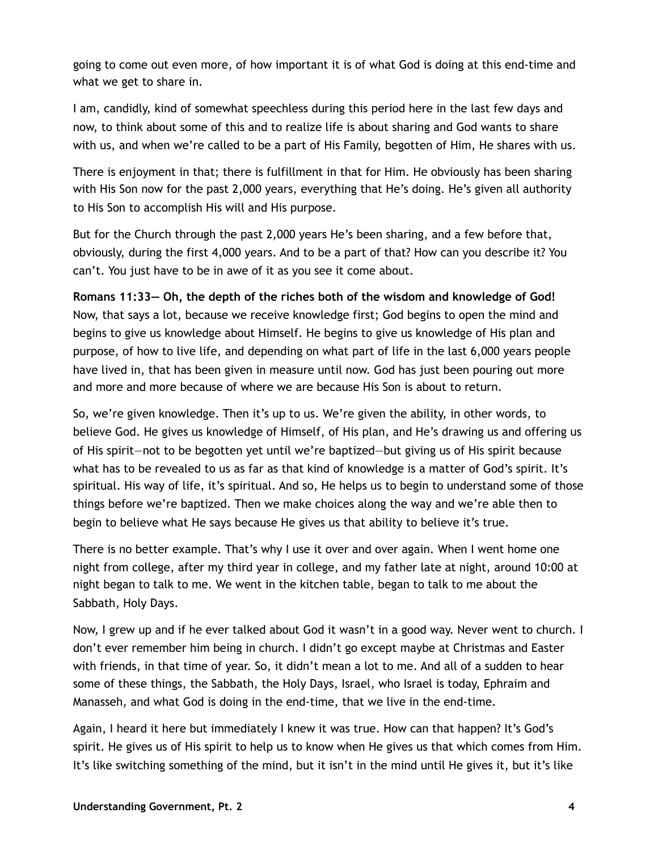going to come out even more, of how important it is of what God is doing at this end-time and what we get to share in.

I am, candidly, kind of somewhat speechless during this period here in the last few days and now, to think about some of this and to realize life is about sharing and God wants to share with us, and when we're called to be a part of His Family, begotten of Him, He shares with us.

There is enjoyment in that; there is fulfillment in that for Him. He obviously has been sharing with His Son now for the past 2,000 years, everything that He's doing. He's given all authority to His Son to accomplish His will and His purpose.

But for the Church through the past 2,000 years He's been sharing, and a few before that, obviously, during the first 4,000 years. And to be a part of that? How can you describe it? You can't. You just have to be in awe of it as you see it come about.

**Romans 11:33— Oh, the depth of the riches both of the wisdom and knowledge of God!** Now, that says a lot, because we receive knowledge first; God begins to open the mind and begins to give us knowledge about Himself. He begins to give us knowledge of His plan and purpose, of how to live life, and depending on what part of life in the last 6,000 years people have lived in, that has been given in measure until now. God has just been pouring out more and more and more because of where we are because His Son is about to return.

So, we're given knowledge. Then it's up to us. We're given the ability, in other words, to believe God. He gives us knowledge of Himself, of His plan, and He's drawing us and offering us of His spirit—not to be begotten yet until we're baptized—but giving us of His spirit because what has to be revealed to us as far as that kind of knowledge is a matter of God's spirit. It's spiritual. His way of life, it's spiritual. And so, He helps us to begin to understand some of those things before we're baptized. Then we make choices along the way and we're able then to begin to believe what He says because He gives us that ability to believe it's true.

There is no better example. That's why I use it over and over again. When I went home one night from college, after my third year in college, and my father late at night, around 10:00 at night began to talk to me. We went in the kitchen table, began to talk to me about the Sabbath, Holy Days.

Now, I grew up and if he ever talked about God it wasn't in a good way. Never went to church. I don't ever remember him being in church. I didn't go except maybe at Christmas and Easter with friends, in that time of year. So, it didn't mean a lot to me. And all of a sudden to hear some of these things, the Sabbath, the Holy Days, Israel, who Israel is today, Ephraim and Manasseh, and what God is doing in the end-time, that we live in the end-time.

Again, I heard it here but immediately I knew it was true. How can that happen? It's God's spirit. He gives us of His spirit to help us to know when He gives us that which comes from Him. It's like switching something of the mind, but it isn't in the mind until He gives it, but it's like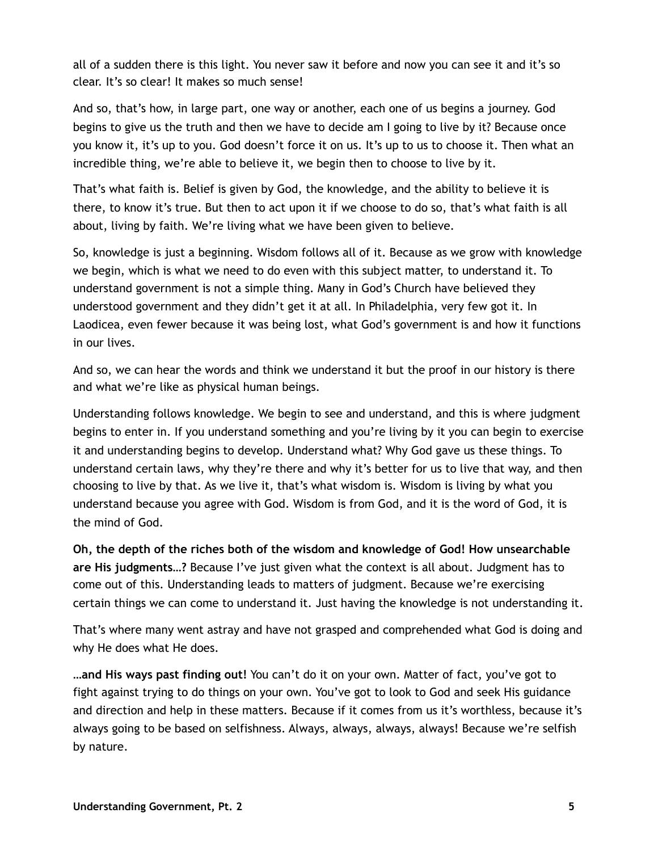all of a sudden there is this light. You never saw it before and now you can see it and it's so clear. It's so clear! It makes so much sense!

And so, that's how, in large part, one way or another, each one of us begins a journey. God begins to give us the truth and then we have to decide am I going to live by it? Because once you know it, it's up to you. God doesn't force it on us. It's up to us to choose it. Then what an incredible thing, we're able to believe it, we begin then to choose to live by it.

That's what faith is. Belief is given by God, the knowledge, and the ability to believe it is there, to know it's true. But then to act upon it if we choose to do so, that's what faith is all about, living by faith. We're living what we have been given to believe.

So, knowledge is just a beginning. Wisdom follows all of it. Because as we grow with knowledge we begin, which is what we need to do even with this subject matter, to understand it. To understand government is not a simple thing. Many in God's Church have believed they understood government and they didn't get it at all. In Philadelphia, very few got it. In Laodicea, even fewer because it was being lost, what God's government is and how it functions in our lives.

And so, we can hear the words and think we understand it but the proof in our history is there and what we're like as physical human beings.

Understanding follows knowledge. We begin to see and understand, and this is where judgment begins to enter in. If you understand something and you're living by it you can begin to exercise it and understanding begins to develop. Understand what? Why God gave us these things. To understand certain laws, why they're there and why it's better for us to live that way, and then choosing to live by that. As we live it, that's what wisdom is. Wisdom is living by what you understand because you agree with God. Wisdom is from God, and it is the word of God, it is the mind of God.

**Oh, the depth of the riches both of the wisdom and knowledge of God! How unsearchable are His judgments…?** Because I've just given what the context is all about. Judgment has to come out of this. Understanding leads to matters of judgment. Because we're exercising certain things we can come to understand it. Just having the knowledge is not understanding it.

That's where many went astray and have not grasped and comprehended what God is doing and why He does what He does.

**…and His ways past finding out!** You can't do it on your own. Matter of fact, you've got to fight against trying to do things on your own. You've got to look to God and seek His guidance and direction and help in these matters. Because if it comes from us it's worthless, because it's always going to be based on selfishness. Always, always, always, always! Because we're selfish by nature.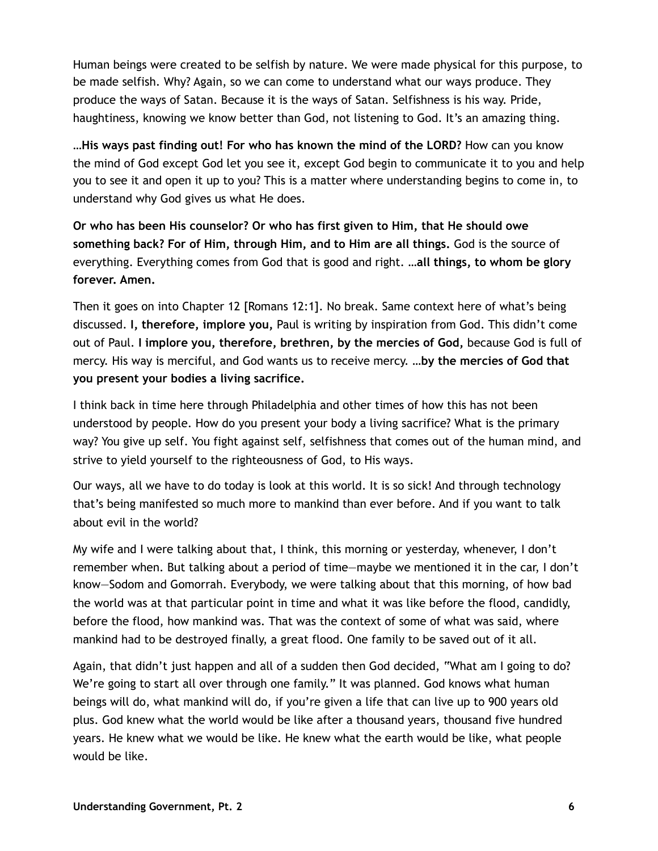Human beings were created to be selfish by nature. We were made physical for this purpose, to be made selfish. Why? Again, so we can come to understand what our ways produce. They produce the ways of Satan. Because it is the ways of Satan. Selfishness is his way. Pride, haughtiness, knowing we know better than God, not listening to God. It's an amazing thing.

**…His ways past finding out! For who has known the mind of the LORD?** How can you know the mind of God except God let you see it, except God begin to communicate it to you and help you to see it and open it up to you? This is a matter where understanding begins to come in, to understand why God gives us what He does.

**Or who has been His counselor? Or who has first given to Him, that He should owe something back? For of Him, through Him, and to Him are all things.** God is the source of everything. Everything comes from God that is good and right. **…all things, to whom be glory forever. Amen.**

Then it goes on into Chapter 12 [Romans 12:1]. No break. Same context here of what's being discussed. **I, therefore, implore you,** Paul is writing by inspiration from God. This didn't come out of Paul. **I implore you, therefore, brethren, by the mercies of God,** because God is full of mercy. His way is merciful, and God wants us to receive mercy. **…by the mercies of God that you present your bodies a living sacrifice.**

I think back in time here through Philadelphia and other times of how this has not been understood by people. How do you present your body a living sacrifice? What is the primary way? You give up self. You fight against self, selfishness that comes out of the human mind, and strive to yield yourself to the righteousness of God, to His ways.

Our ways, all we have to do today is look at this world. It is so sick! And through technology that's being manifested so much more to mankind than ever before. And if you want to talk about evil in the world?

My wife and I were talking about that, I think, this morning or yesterday, whenever, I don't remember when. But talking about a period of time—maybe we mentioned it in the car, I don't know—Sodom and Gomorrah. Everybody, we were talking about that this morning, of how bad the world was at that particular point in time and what it was like before the flood, candidly, before the flood, how mankind was. That was the context of some of what was said, where mankind had to be destroyed finally, a great flood. One family to be saved out of it all.

Again, that didn't just happen and all of a sudden then God decided, "What am I going to do? We're going to start all over through one family." It was planned. God knows what human beings will do, what mankind will do, if you're given a life that can live up to 900 years old plus. God knew what the world would be like after a thousand years, thousand five hundred years. He knew what we would be like. He knew what the earth would be like, what people would be like.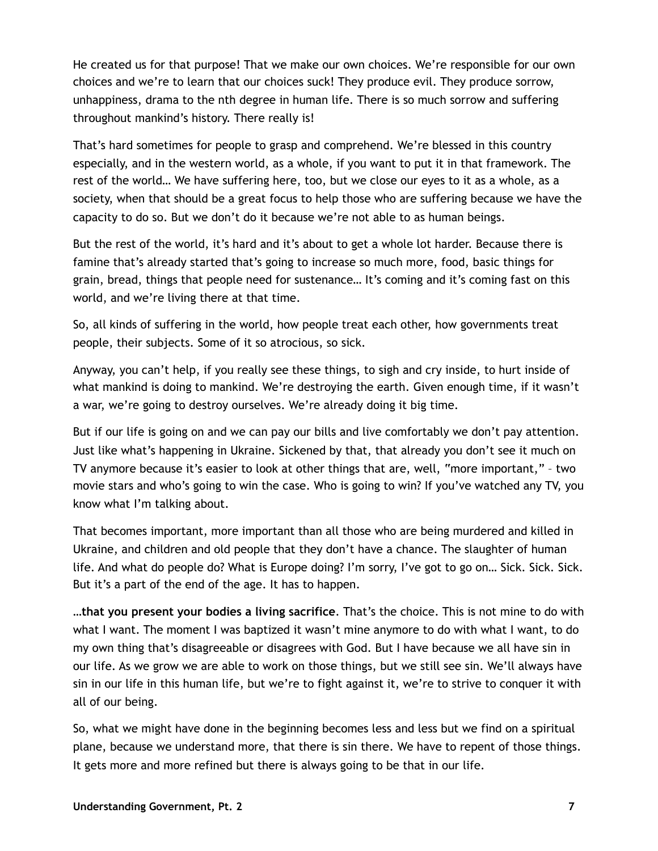He created us for that purpose! That we make our own choices. We're responsible for our own choices and we're to learn that our choices suck! They produce evil. They produce sorrow, unhappiness, drama to the nth degree in human life. There is so much sorrow and suffering throughout mankind's history. There really is!

That's hard sometimes for people to grasp and comprehend. We're blessed in this country especially, and in the western world, as a whole, if you want to put it in that framework. The rest of the world… We have suffering here, too, but we close our eyes to it as a whole, as a society, when that should be a great focus to help those who are suffering because we have the capacity to do so. But we don't do it because we're not able to as human beings.

But the rest of the world, it's hard and it's about to get a whole lot harder. Because there is famine that's already started that's going to increase so much more, food, basic things for grain, bread, things that people need for sustenance… It's coming and it's coming fast on this world, and we're living there at that time.

So, all kinds of suffering in the world, how people treat each other, how governments treat people, their subjects. Some of it so atrocious, so sick.

Anyway, you can't help, if you really see these things, to sigh and cry inside, to hurt inside of what mankind is doing to mankind. We're destroying the earth. Given enough time, if it wasn't a war, we're going to destroy ourselves. We're already doing it big time.

But if our life is going on and we can pay our bills and live comfortably we don't pay attention. Just like what's happening in Ukraine. Sickened by that, that already you don't see it much on TV anymore because it's easier to look at other things that are, well, "more important," – two movie stars and who's going to win the case. Who is going to win? If you've watched any TV, you know what I'm talking about.

That becomes important, more important than all those who are being murdered and killed in Ukraine, and children and old people that they don't have a chance. The slaughter of human life. And what do people do? What is Europe doing? I'm sorry, I've got to go on… Sick. Sick. Sick. But it's a part of the end of the age. It has to happen.

**…that you present your bodies a living sacrifice**. That's the choice. This is not mine to do with what I want. The moment I was baptized it wasn't mine anymore to do with what I want, to do my own thing that's disagreeable or disagrees with God. But I have because we all have sin in our life. As we grow we are able to work on those things, but we still see sin. We'll always have sin in our life in this human life, but we're to fight against it, we're to strive to conquer it with all of our being.

So, what we might have done in the beginning becomes less and less but we find on a spiritual plane, because we understand more, that there is sin there. We have to repent of those things. It gets more and more refined but there is always going to be that in our life.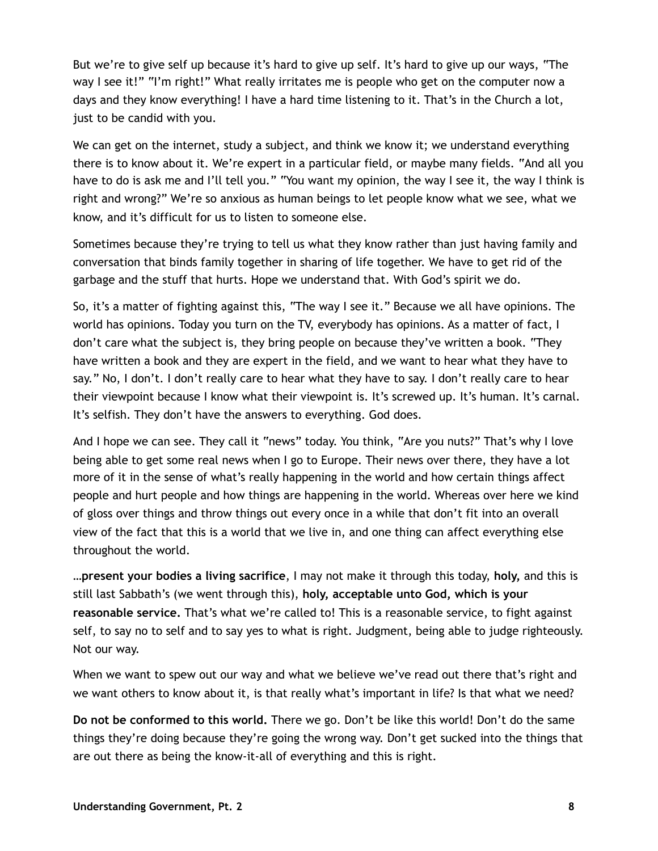But we're to give self up because it's hard to give up self. It's hard to give up our ways, "The way I see it!" "I'm right!" What really irritates me is people who get on the computer now a days and they know everything! I have a hard time listening to it. That's in the Church a lot, just to be candid with you.

We can get on the internet, study a subject, and think we know it; we understand everything there is to know about it. We're expert in a particular field, or maybe many fields. "And all you have to do is ask me and I'll tell you." "You want my opinion, the way I see it, the way I think is right and wrong?" We're so anxious as human beings to let people know what we see, what we know, and it's difficult for us to listen to someone else.

Sometimes because they're trying to tell us what they know rather than just having family and conversation that binds family together in sharing of life together. We have to get rid of the garbage and the stuff that hurts. Hope we understand that. With God's spirit we do.

So, it's a matter of fighting against this, "The way I see it." Because we all have opinions. The world has opinions. Today you turn on the TV, everybody has opinions. As a matter of fact, I don't care what the subject is, they bring people on because they've written a book. "They have written a book and they are expert in the field, and we want to hear what they have to say." No, I don't. I don't really care to hear what they have to say. I don't really care to hear their viewpoint because I know what their viewpoint is. It's screwed up. It's human. It's carnal. It's selfish. They don't have the answers to everything. God does.

And I hope we can see. They call it "news" today. You think, "Are you nuts?" That's why I love being able to get some real news when I go to Europe. Their news over there, they have a lot more of it in the sense of what's really happening in the world and how certain things affect people and hurt people and how things are happening in the world. Whereas over here we kind of gloss over things and throw things out every once in a while that don't fit into an overall view of the fact that this is a world that we live in, and one thing can affect everything else throughout the world.

**…present your bodies a living sacrifice**, I may not make it through this today, **holy,** and this is still last Sabbath's (we went through this), **holy, acceptable unto God, which is your reasonable service.** That's what we're called to! This is a reasonable service, to fight against self, to say no to self and to say yes to what is right. Judgment, being able to judge righteously. Not our way.

When we want to spew out our way and what we believe we've read out there that's right and we want others to know about it, is that really what's important in life? Is that what we need?

**Do not be conformed to this world.** There we go. Don't be like this world! Don't do the same things they're doing because they're going the wrong way. Don't get sucked into the things that are out there as being the know-it-all of everything and this is right.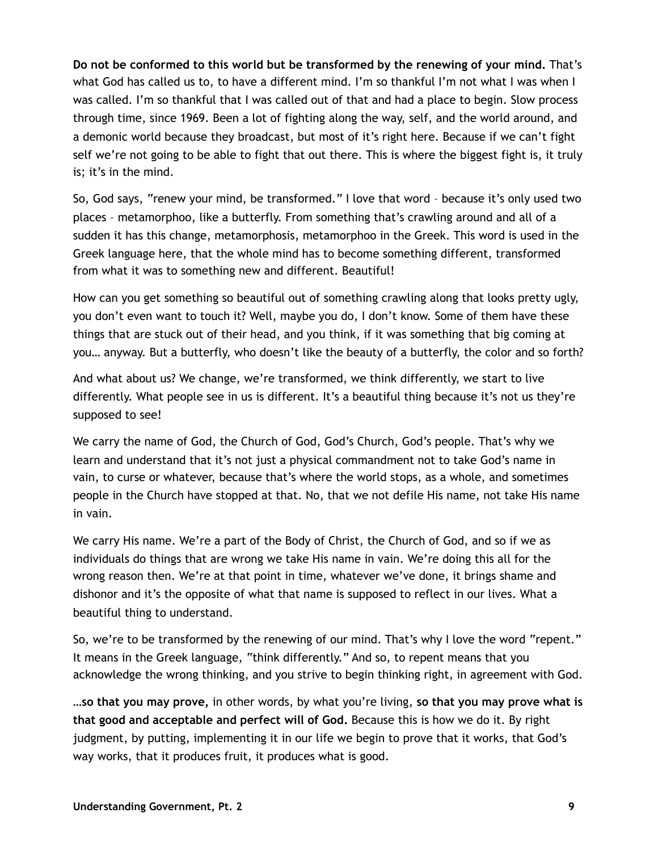**Do not be conformed to this world but be transformed by the renewing of your mind.** That's what God has called us to, to have a different mind. I'm so thankful I'm not what I was when I was called. I'm so thankful that I was called out of that and had a place to begin. Slow process through time, since 1969. Been a lot of fighting along the way, self, and the world around, and a demonic world because they broadcast, but most of it's right here. Because if we can't fight self we're not going to be able to fight that out there. This is where the biggest fight is, it truly is; it's in the mind.

So, God says, "renew your mind, be transformed." I love that word – because it's only used two places – metamorphoo, like a butterfly. From something that's crawling around and all of a sudden it has this change, metamorphosis, metamorphoo in the Greek. This word is used in the Greek language here, that the whole mind has to become something different, transformed from what it was to something new and different. Beautiful!

How can you get something so beautiful out of something crawling along that looks pretty ugly, you don't even want to touch it? Well, maybe you do, I don't know. Some of them have these things that are stuck out of their head, and you think, if it was something that big coming at you… anyway. But a butterfly, who doesn't like the beauty of a butterfly, the color and so forth?

And what about us? We change, we're transformed, we think differently, we start to live differently. What people see in us is different. It's a beautiful thing because it's not us they're supposed to see!

We carry the name of God, the Church of God, God's Church, God's people. That's why we learn and understand that it's not just a physical commandment not to take God's name in vain, to curse or whatever, because that's where the world stops, as a whole, and sometimes people in the Church have stopped at that. No, that we not defile His name, not take His name in vain.

We carry His name. We're a part of the Body of Christ, the Church of God, and so if we as individuals do things that are wrong we take His name in vain. We're doing this all for the wrong reason then. We're at that point in time, whatever we've done, it brings shame and dishonor and it's the opposite of what that name is supposed to reflect in our lives. What a beautiful thing to understand.

So, we're to be transformed by the renewing of our mind. That's why I love the word "repent." It means in the Greek language, "think differently." And so, to repent means that you acknowledge the wrong thinking, and you strive to begin thinking right, in agreement with God.

**…so that you may prove,** in other words, by what you're living, **so that you may prove what is that good and acceptable and perfect will of God.** Because this is how we do it. By right judgment, by putting, implementing it in our life we begin to prove that it works, that God's way works, that it produces fruit, it produces what is good.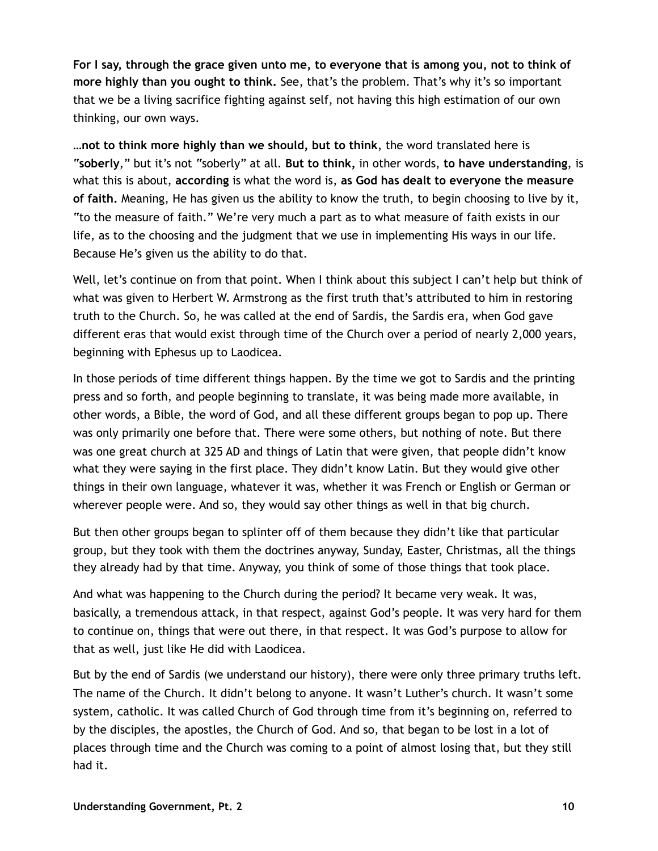**For I say, through the grace given unto me, to everyone that is among you, not to think of more highly than you ought to think.** See, that's the problem. That's why it's so important that we be a living sacrifice fighting against self, not having this high estimation of our own thinking, our own ways.

**…not to think more highly than we should, but to think**, the word translated here is "**soberly**," but it's not "soberly" at all. **But to think,** in other words, **to have understanding**, is what this is about, **according** is what the word is, **as God has dealt to everyone the measure of faith.** Meaning, He has given us the ability to know the truth, to begin choosing to live by it, "to the measure of faith." We're very much a part as to what measure of faith exists in our life, as to the choosing and the judgment that we use in implementing His ways in our life. Because He's given us the ability to do that.

Well, let's continue on from that point. When I think about this subject I can't help but think of what was given to Herbert W. Armstrong as the first truth that's attributed to him in restoring truth to the Church. So, he was called at the end of Sardis, the Sardis era, when God gave different eras that would exist through time of the Church over a period of nearly 2,000 years, beginning with Ephesus up to Laodicea.

In those periods of time different things happen. By the time we got to Sardis and the printing press and so forth, and people beginning to translate, it was being made more available, in other words, a Bible, the word of God, and all these different groups began to pop up. There was only primarily one before that. There were some others, but nothing of note. But there was one great church at 325 AD and things of Latin that were given, that people didn't know what they were saying in the first place. They didn't know Latin. But they would give other things in their own language, whatever it was, whether it was French or English or German or wherever people were. And so, they would say other things as well in that big church.

But then other groups began to splinter off of them because they didn't like that particular group, but they took with them the doctrines anyway, Sunday, Easter, Christmas, all the things they already had by that time. Anyway, you think of some of those things that took place.

And what was happening to the Church during the period? It became very weak. It was, basically, a tremendous attack, in that respect, against God's people. It was very hard for them to continue on, things that were out there, in that respect. It was God's purpose to allow for that as well, just like He did with Laodicea.

But by the end of Sardis (we understand our history), there were only three primary truths left. The name of the Church. It didn't belong to anyone. It wasn't Luther's church. It wasn't some system, catholic. It was called Church of God through time from it's beginning on, referred to by the disciples, the apostles, the Church of God. And so, that began to be lost in a lot of places through time and the Church was coming to a point of almost losing that, but they still had it.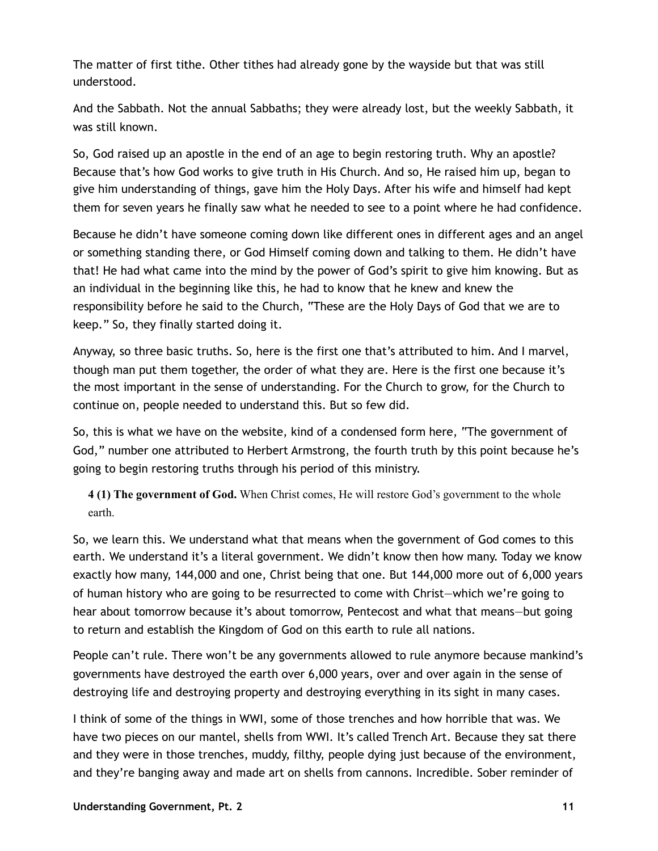The matter of first tithe. Other tithes had already gone by the wayside but that was still understood.

And the Sabbath. Not the annual Sabbaths; they were already lost, but the weekly Sabbath, it was still known.

So, God raised up an apostle in the end of an age to begin restoring truth. Why an apostle? Because that's how God works to give truth in His Church. And so, He raised him up, began to give him understanding of things, gave him the Holy Days. After his wife and himself had kept them for seven years he finally saw what he needed to see to a point where he had confidence.

Because he didn't have someone coming down like different ones in different ages and an angel or something standing there, or God Himself coming down and talking to them. He didn't have that! He had what came into the mind by the power of God's spirit to give him knowing. But as an individual in the beginning like this, he had to know that he knew and knew the responsibility before he said to the Church, "These are the Holy Days of God that we are to keep." So, they finally started doing it.

Anyway, so three basic truths. So, here is the first one that's attributed to him. And I marvel, though man put them together, the order of what they are. Here is the first one because it's the most important in the sense of understanding. For the Church to grow, for the Church to continue on, people needed to understand this. But so few did.

So, this is what we have on the website, kind of a condensed form here, "The government of God," number one attributed to Herbert Armstrong, the fourth truth by this point because he's going to begin restoring truths through his period of this ministry.

**4 (1) The government of God.** When Christ comes, He will restore God's government to the whole earth.

So, we learn this. We understand what that means when the government of God comes to this earth. We understand it's a literal government. We didn't know then how many. Today we know exactly how many, 144,000 and one, Christ being that one. But 144,000 more out of 6,000 years of human history who are going to be resurrected to come with Christ—which we're going to hear about tomorrow because it's about tomorrow, Pentecost and what that means—but going to return and establish the Kingdom of God on this earth to rule all nations.

People can't rule. There won't be any governments allowed to rule anymore because mankind's governments have destroyed the earth over 6,000 years, over and over again in the sense of destroying life and destroying property and destroying everything in its sight in many cases.

I think of some of the things in WWI, some of those trenches and how horrible that was. We have two pieces on our mantel, shells from WWI. It's called Trench Art. Because they sat there and they were in those trenches, muddy, filthy, people dying just because of the environment, and they're banging away and made art on shells from cannons. Incredible. Sober reminder of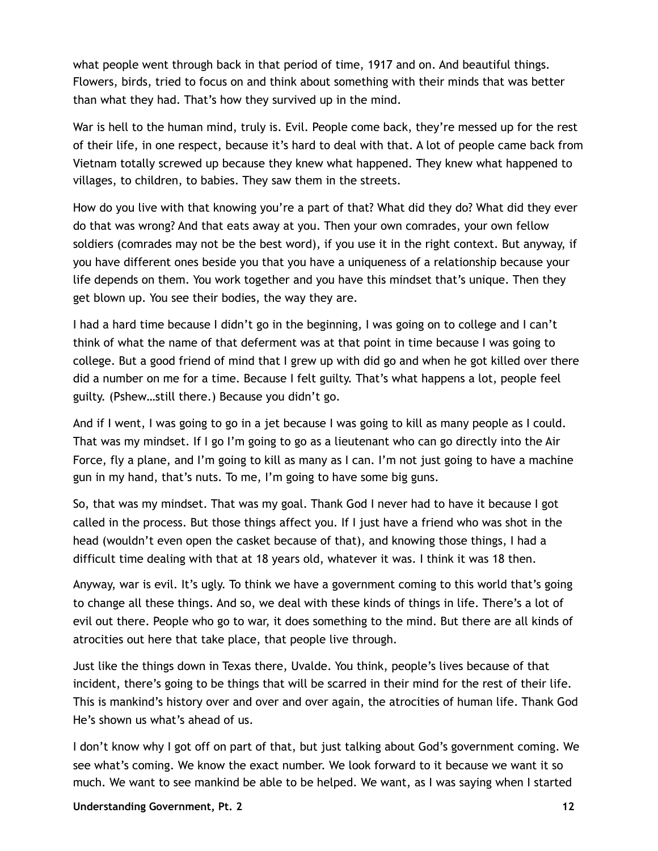what people went through back in that period of time, 1917 and on. And beautiful things. Flowers, birds, tried to focus on and think about something with their minds that was better than what they had. That's how they survived up in the mind.

War is hell to the human mind, truly is. Evil. People come back, they're messed up for the rest of their life, in one respect, because it's hard to deal with that. A lot of people came back from Vietnam totally screwed up because they knew what happened. They knew what happened to villages, to children, to babies. They saw them in the streets.

How do you live with that knowing you're a part of that? What did they do? What did they ever do that was wrong? And that eats away at you. Then your own comrades, your own fellow soldiers (comrades may not be the best word), if you use it in the right context. But anyway, if you have different ones beside you that you have a uniqueness of a relationship because your life depends on them. You work together and you have this mindset that's unique. Then they get blown up. You see their bodies, the way they are.

I had a hard time because I didn't go in the beginning, I was going on to college and I can't think of what the name of that deferment was at that point in time because I was going to college. But a good friend of mind that I grew up with did go and when he got killed over there did a number on me for a time. Because I felt guilty. That's what happens a lot, people feel guilty. (Pshew…still there.) Because you didn't go.

And if I went, I was going to go in a jet because I was going to kill as many people as I could. That was my mindset. If I go I'm going to go as a lieutenant who can go directly into the Air Force, fly a plane, and I'm going to kill as many as I can. I'm not just going to have a machine gun in my hand, that's nuts. To me, I'm going to have some big guns.

So, that was my mindset. That was my goal. Thank God I never had to have it because I got called in the process. But those things affect you. If I just have a friend who was shot in the head (wouldn't even open the casket because of that), and knowing those things, I had a difficult time dealing with that at 18 years old, whatever it was. I think it was 18 then.

Anyway, war is evil. It's ugly. To think we have a government coming to this world that's going to change all these things. And so, we deal with these kinds of things in life. There's a lot of evil out there. People who go to war, it does something to the mind. But there are all kinds of atrocities out here that take place, that people live through.

Just like the things down in Texas there, Uvalde. You think, people's lives because of that incident, there's going to be things that will be scarred in their mind for the rest of their life. This is mankind's history over and over and over again, the atrocities of human life. Thank God He's shown us what's ahead of us.

I don't know why I got off on part of that, but just talking about God's government coming. We see what's coming. We know the exact number. We look forward to it because we want it so much. We want to see mankind be able to be helped. We want, as I was saying when I started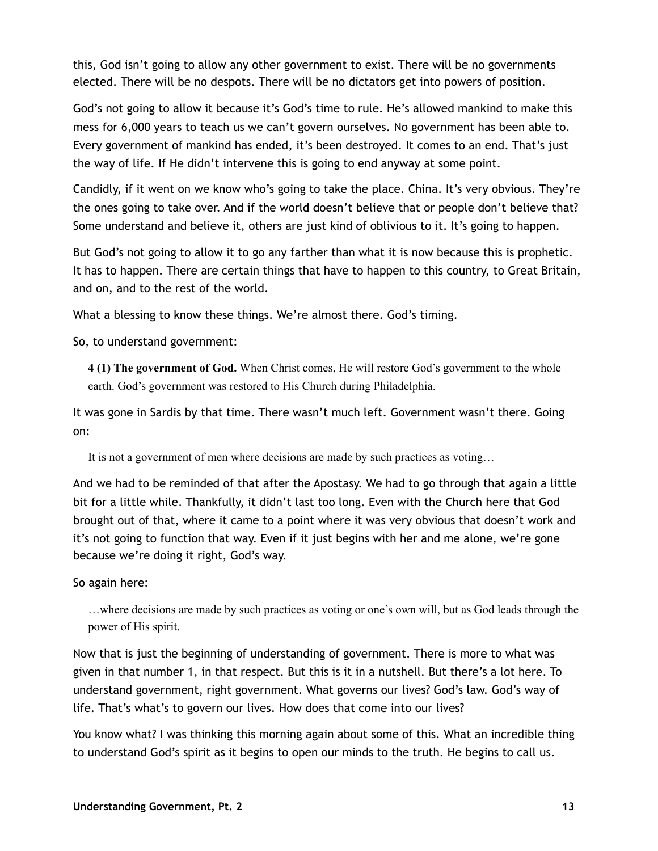this, God isn't going to allow any other government to exist. There will be no governments elected. There will be no despots. There will be no dictators get into powers of position.

God's not going to allow it because it's God's time to rule. He's allowed mankind to make this mess for 6,000 years to teach us we can't govern ourselves. No government has been able to. Every government of mankind has ended, it's been destroyed. It comes to an end. That's just the way of life. If He didn't intervene this is going to end anyway at some point.

Candidly, if it went on we know who's going to take the place. China. It's very obvious. They're the ones going to take over. And if the world doesn't believe that or people don't believe that? Some understand and believe it, others are just kind of oblivious to it. It's going to happen.

But God's not going to allow it to go any farther than what it is now because this is prophetic. It has to happen. There are certain things that have to happen to this country, to Great Britain, and on, and to the rest of the world.

What a blessing to know these things. We're almost there. God's timing.

So, to understand government:

**4 (1) The government of God.** When Christ comes, He will restore God's government to the whole earth. God's government was restored to His Church during Philadelphia.

It was gone in Sardis by that time. There wasn't much left. Government wasn't there. Going on:

It is not a government of men where decisions are made by such practices as voting…

And we had to be reminded of that after the Apostasy. We had to go through that again a little bit for a little while. Thankfully, it didn't last too long. Even with the Church here that God brought out of that, where it came to a point where it was very obvious that doesn't work and it's not going to function that way. Even if it just begins with her and me alone, we're gone because we're doing it right, God's way.

So again here:

…where decisions are made by such practices as voting or one's own will, but as God leads through the power of His spirit.

Now that is just the beginning of understanding of government. There is more to what was given in that number 1, in that respect. But this is it in a nutshell. But there's a lot here. To understand government, right government. What governs our lives? God's law. God's way of life. That's what's to govern our lives. How does that come into our lives?

You know what? I was thinking this morning again about some of this. What an incredible thing to understand God's spirit as it begins to open our minds to the truth. He begins to call us.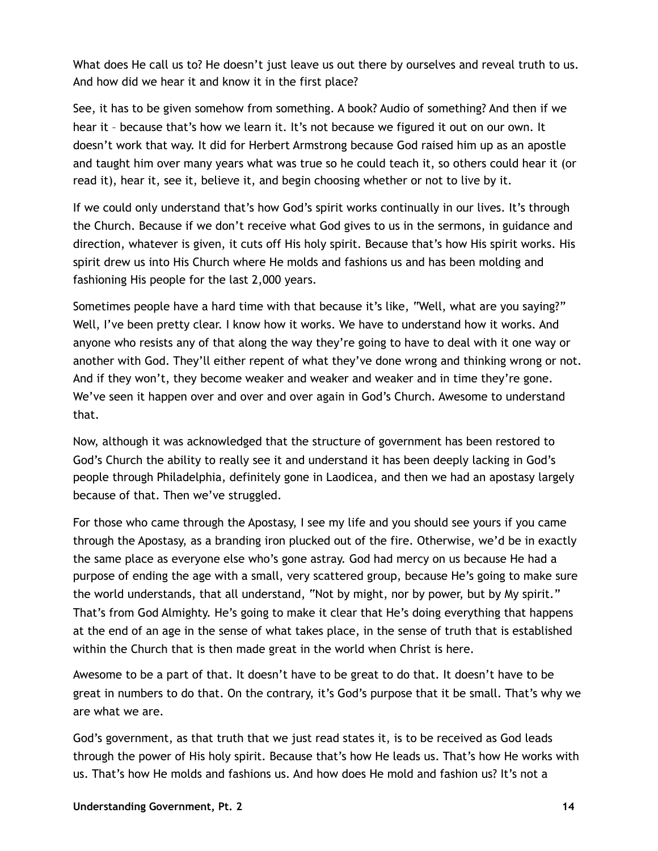What does He call us to? He doesn't just leave us out there by ourselves and reveal truth to us. And how did we hear it and know it in the first place?

See, it has to be given somehow from something. A book? Audio of something? And then if we hear it – because that's how we learn it. It's not because we figured it out on our own. It doesn't work that way. It did for Herbert Armstrong because God raised him up as an apostle and taught him over many years what was true so he could teach it, so others could hear it (or read it), hear it, see it, believe it, and begin choosing whether or not to live by it.

If we could only understand that's how God's spirit works continually in our lives. It's through the Church. Because if we don't receive what God gives to us in the sermons, in guidance and direction, whatever is given, it cuts off His holy spirit. Because that's how His spirit works. His spirit drew us into His Church where He molds and fashions us and has been molding and fashioning His people for the last 2,000 years.

Sometimes people have a hard time with that because it's like, "Well, what are you saying?" Well, I've been pretty clear. I know how it works. We have to understand how it works. And anyone who resists any of that along the way they're going to have to deal with it one way or another with God. They'll either repent of what they've done wrong and thinking wrong or not. And if they won't, they become weaker and weaker and weaker and in time they're gone. We've seen it happen over and over and over again in God's Church. Awesome to understand that.

Now, although it was acknowledged that the structure of government has been restored to God's Church the ability to really see it and understand it has been deeply lacking in God's people through Philadelphia, definitely gone in Laodicea, and then we had an apostasy largely because of that. Then we've struggled.

For those who came through the Apostasy, I see my life and you should see yours if you came through the Apostasy, as a branding iron plucked out of the fire. Otherwise, we'd be in exactly the same place as everyone else who's gone astray. God had mercy on us because He had a purpose of ending the age with a small, very scattered group, because He's going to make sure the world understands, that all understand, "Not by might, nor by power, but by My spirit." That's from God Almighty. He's going to make it clear that He's doing everything that happens at the end of an age in the sense of what takes place, in the sense of truth that is established within the Church that is then made great in the world when Christ is here.

Awesome to be a part of that. It doesn't have to be great to do that. It doesn't have to be great in numbers to do that. On the contrary, it's God's purpose that it be small. That's why we are what we are.

God's government, as that truth that we just read states it, is to be received as God leads through the power of His holy spirit. Because that's how He leads us. That's how He works with us. That's how He molds and fashions us. And how does He mold and fashion us? It's not a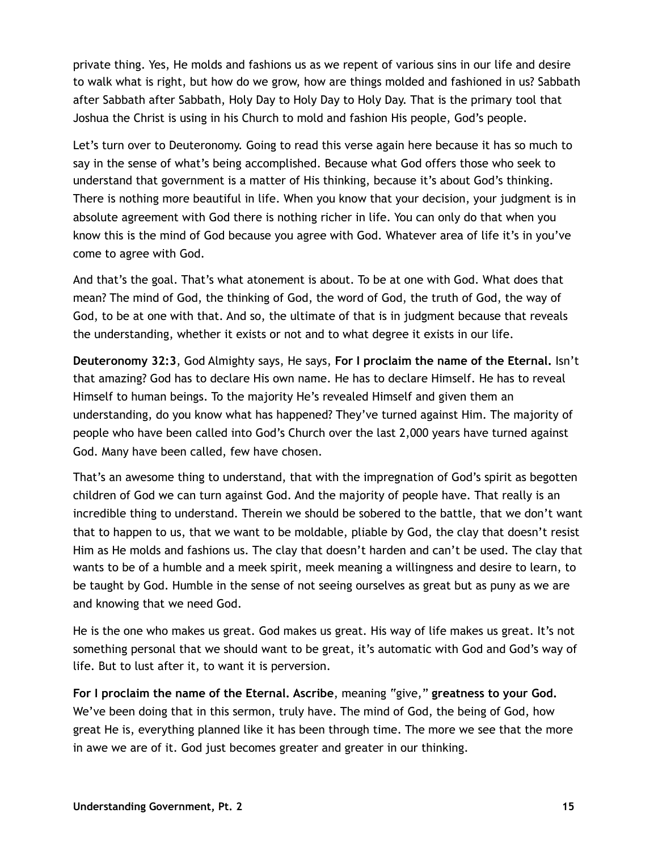private thing. Yes, He molds and fashions us as we repent of various sins in our life and desire to walk what is right, but how do we grow, how are things molded and fashioned in us? Sabbath after Sabbath after Sabbath, Holy Day to Holy Day to Holy Day. That is the primary tool that Joshua the Christ is using in his Church to mold and fashion His people, God's people.

Let's turn over to Deuteronomy. Going to read this verse again here because it has so much to say in the sense of what's being accomplished. Because what God offers those who seek to understand that government is a matter of His thinking, because it's about God's thinking. There is nothing more beautiful in life. When you know that your decision, your judgment is in absolute agreement with God there is nothing richer in life. You can only do that when you know this is the mind of God because you agree with God. Whatever area of life it's in you've come to agree with God.

And that's the goal. That's what atonement is about. To be at one with God. What does that mean? The mind of God, the thinking of God, the word of God, the truth of God, the way of God, to be at one with that. And so, the ultimate of that is in judgment because that reveals the understanding, whether it exists or not and to what degree it exists in our life.

**Deuteronomy 32:3**, God Almighty says, He says, **For I proclaim the name of the Eternal.** Isn't that amazing? God has to declare His own name. He has to declare Himself. He has to reveal Himself to human beings. To the majority He's revealed Himself and given them an understanding, do you know what has happened? They've turned against Him. The majority of people who have been called into God's Church over the last 2,000 years have turned against God. Many have been called, few have chosen.

That's an awesome thing to understand, that with the impregnation of God's spirit as begotten children of God we can turn against God. And the majority of people have. That really is an incredible thing to understand. Therein we should be sobered to the battle, that we don't want that to happen to us, that we want to be moldable, pliable by God, the clay that doesn't resist Him as He molds and fashions us. The clay that doesn't harden and can't be used. The clay that wants to be of a humble and a meek spirit, meek meaning a willingness and desire to learn, to be taught by God. Humble in the sense of not seeing ourselves as great but as puny as we are and knowing that we need God.

He is the one who makes us great. God makes us great. His way of life makes us great. It's not something personal that we should want to be great, it's automatic with God and God's way of life. But to lust after it, to want it is perversion.

**For I proclaim the name of the Eternal. Ascribe**, meaning "give," **greatness to your God.** We've been doing that in this sermon, truly have. The mind of God, the being of God, how great He is, everything planned like it has been through time. The more we see that the more in awe we are of it. God just becomes greater and greater in our thinking.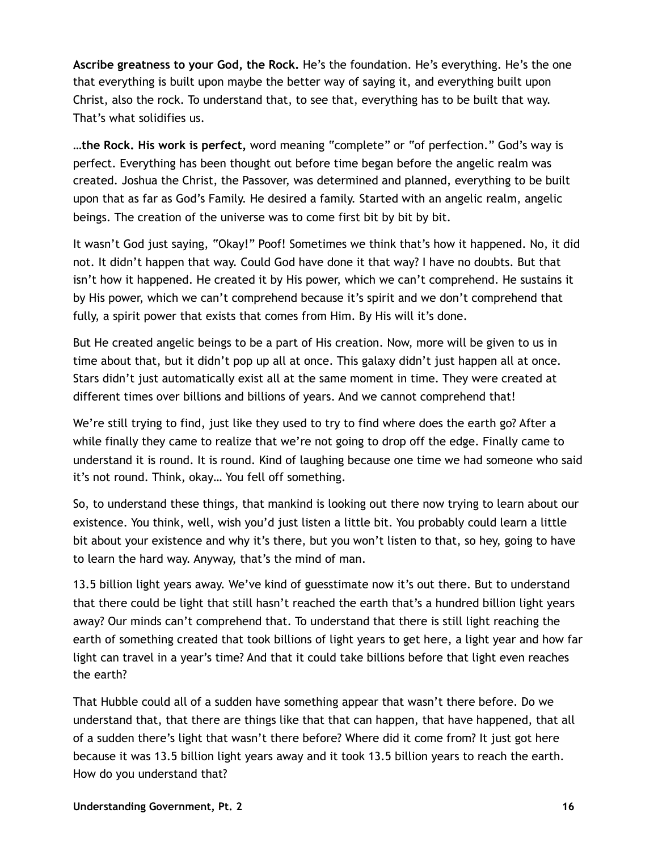**Ascribe greatness to your God, the Rock.** He's the foundation. He's everything. He's the one that everything is built upon maybe the better way of saying it, and everything built upon Christ, also the rock. To understand that, to see that, everything has to be built that way. That's what solidifies us.

**…the Rock. His work is perfect,** word meaning "complete" or "of perfection." God's way is perfect. Everything has been thought out before time began before the angelic realm was created. Joshua the Christ, the Passover, was determined and planned, everything to be built upon that as far as God's Family. He desired a family. Started with an angelic realm, angelic beings. The creation of the universe was to come first bit by bit by bit.

It wasn't God just saying, "Okay!" Poof! Sometimes we think that's how it happened. No, it did not. It didn't happen that way. Could God have done it that way? I have no doubts. But that isn't how it happened. He created it by His power, which we can't comprehend. He sustains it by His power, which we can't comprehend because it's spirit and we don't comprehend that fully, a spirit power that exists that comes from Him. By His will it's done.

But He created angelic beings to be a part of His creation. Now, more will be given to us in time about that, but it didn't pop up all at once. This galaxy didn't just happen all at once. Stars didn't just automatically exist all at the same moment in time. They were created at different times over billions and billions of years. And we cannot comprehend that!

We're still trying to find, just like they used to try to find where does the earth go? After a while finally they came to realize that we're not going to drop off the edge. Finally came to understand it is round. It is round. Kind of laughing because one time we had someone who said it's not round. Think, okay… You fell off something.

So, to understand these things, that mankind is looking out there now trying to learn about our existence. You think, well, wish you'd just listen a little bit. You probably could learn a little bit about your existence and why it's there, but you won't listen to that, so hey, going to have to learn the hard way. Anyway, that's the mind of man.

13.5 billion light years away. We've kind of guesstimate now it's out there. But to understand that there could be light that still hasn't reached the earth that's a hundred billion light years away? Our minds can't comprehend that. To understand that there is still light reaching the earth of something created that took billions of light years to get here, a light year and how far light can travel in a year's time? And that it could take billions before that light even reaches the earth?

That Hubble could all of a sudden have something appear that wasn't there before. Do we understand that, that there are things like that that can happen, that have happened, that all of a sudden there's light that wasn't there before? Where did it come from? It just got here because it was 13.5 billion light years away and it took 13.5 billion years to reach the earth. How do you understand that?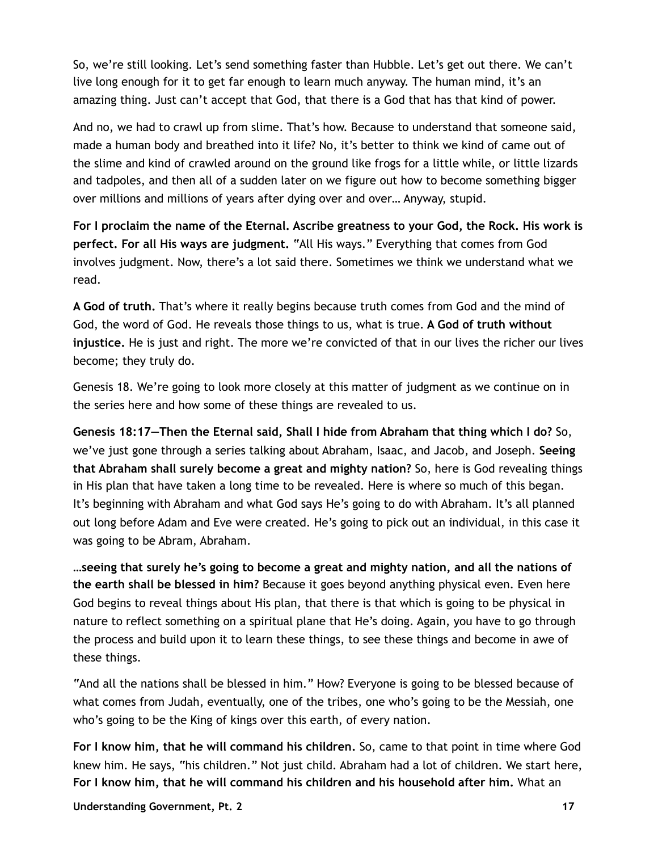So, we're still looking. Let's send something faster than Hubble. Let's get out there. We can't live long enough for it to get far enough to learn much anyway. The human mind, it's an amazing thing. Just can't accept that God, that there is a God that has that kind of power.

And no, we had to crawl up from slime. That's how. Because to understand that someone said, made a human body and breathed into it life? No, it's better to think we kind of came out of the slime and kind of crawled around on the ground like frogs for a little while, or little lizards and tadpoles, and then all of a sudden later on we figure out how to become something bigger over millions and millions of years after dying over and over… Anyway, stupid.

**For I proclaim the name of the Eternal. Ascribe greatness to your God, the Rock. His work is perfect. For all His ways are judgment.** "All His ways." Everything that comes from God involves judgment. Now, there's a lot said there. Sometimes we think we understand what we read.

**A God of truth.** That's where it really begins because truth comes from God and the mind of God, the word of God. He reveals those things to us, what is true. **A God of truth without injustice.** He is just and right. The more we're convicted of that in our lives the richer our lives become; they truly do.

Genesis 18. We're going to look more closely at this matter of judgment as we continue on in the series here and how some of these things are revealed to us.

**Genesis 18:17—Then the Eternal said, Shall I hide from Abraham that thing which I do?** So, we've just gone through a series talking about Abraham, Isaac, and Jacob, and Joseph. **Seeing that Abraham shall surely become a great and mighty nation?** So, here is God revealing things in His plan that have taken a long time to be revealed. Here is where so much of this began. It's beginning with Abraham and what God says He's going to do with Abraham. It's all planned out long before Adam and Eve were created. He's going to pick out an individual, in this case it was going to be Abram, Abraham.

**…seeing that surely he's going to become a great and mighty nation, and all the nations of the earth shall be blessed in him?** Because it goes beyond anything physical even. Even here God begins to reveal things about His plan, that there is that which is going to be physical in nature to reflect something on a spiritual plane that He's doing. Again, you have to go through the process and build upon it to learn these things, to see these things and become in awe of these things.

"And all the nations shall be blessed in him." How? Everyone is going to be blessed because of what comes from Judah, eventually, one of the tribes, one who's going to be the Messiah, one who's going to be the King of kings over this earth, of every nation.

**For I know him, that he will command his children.** So, came to that point in time where God knew him. He says, "his children." Not just child. Abraham had a lot of children. We start here, **For I know him, that he will command his children and his household after him.** What an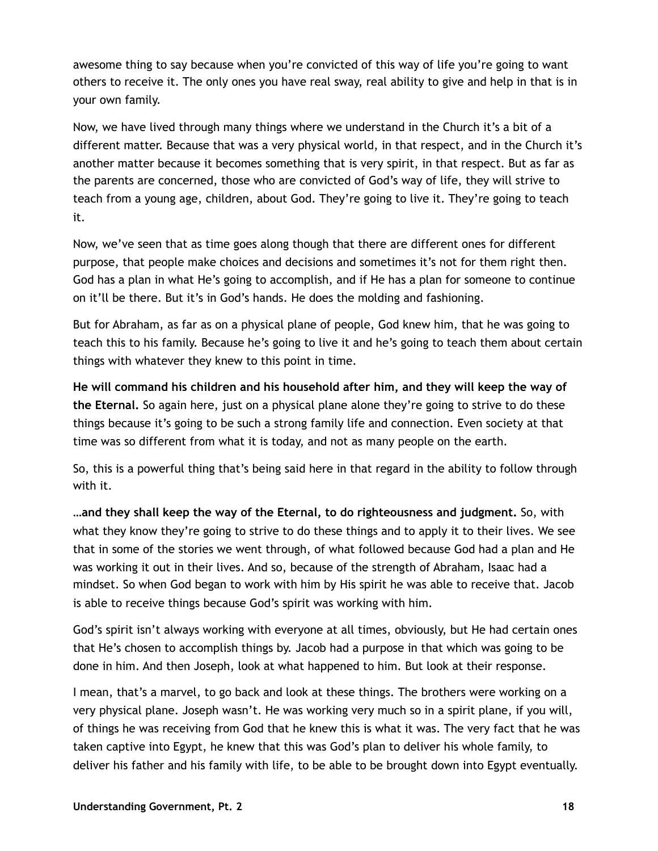awesome thing to say because when you're convicted of this way of life you're going to want others to receive it. The only ones you have real sway, real ability to give and help in that is in your own family.

Now, we have lived through many things where we understand in the Church it's a bit of a different matter. Because that was a very physical world, in that respect, and in the Church it's another matter because it becomes something that is very spirit, in that respect. But as far as the parents are concerned, those who are convicted of God's way of life, they will strive to teach from a young age, children, about God. They're going to live it. They're going to teach it.

Now, we've seen that as time goes along though that there are different ones for different purpose, that people make choices and decisions and sometimes it's not for them right then. God has a plan in what He's going to accomplish, and if He has a plan for someone to continue on it'll be there. But it's in God's hands. He does the molding and fashioning.

But for Abraham, as far as on a physical plane of people, God knew him, that he was going to teach this to his family. Because he's going to live it and he's going to teach them about certain things with whatever they knew to this point in time.

**He will command his children and his household after him, and they will keep the way of the Eternal.** So again here, just on a physical plane alone they're going to strive to do these things because it's going to be such a strong family life and connection. Even society at that time was so different from what it is today, and not as many people on the earth.

So, this is a powerful thing that's being said here in that regard in the ability to follow through with it.

**…and they shall keep the way of the Eternal, to do righteousness and judgment.** So, with what they know they're going to strive to do these things and to apply it to their lives. We see that in some of the stories we went through, of what followed because God had a plan and He was working it out in their lives. And so, because of the strength of Abraham, Isaac had a mindset. So when God began to work with him by His spirit he was able to receive that. Jacob is able to receive things because God's spirit was working with him.

God's spirit isn't always working with everyone at all times, obviously, but He had certain ones that He's chosen to accomplish things by. Jacob had a purpose in that which was going to be done in him. And then Joseph, look at what happened to him. But look at their response.

I mean, that's a marvel, to go back and look at these things. The brothers were working on a very physical plane. Joseph wasn't. He was working very much so in a spirit plane, if you will, of things he was receiving from God that he knew this is what it was. The very fact that he was taken captive into Egypt, he knew that this was God's plan to deliver his whole family, to deliver his father and his family with life, to be able to be brought down into Egypt eventually.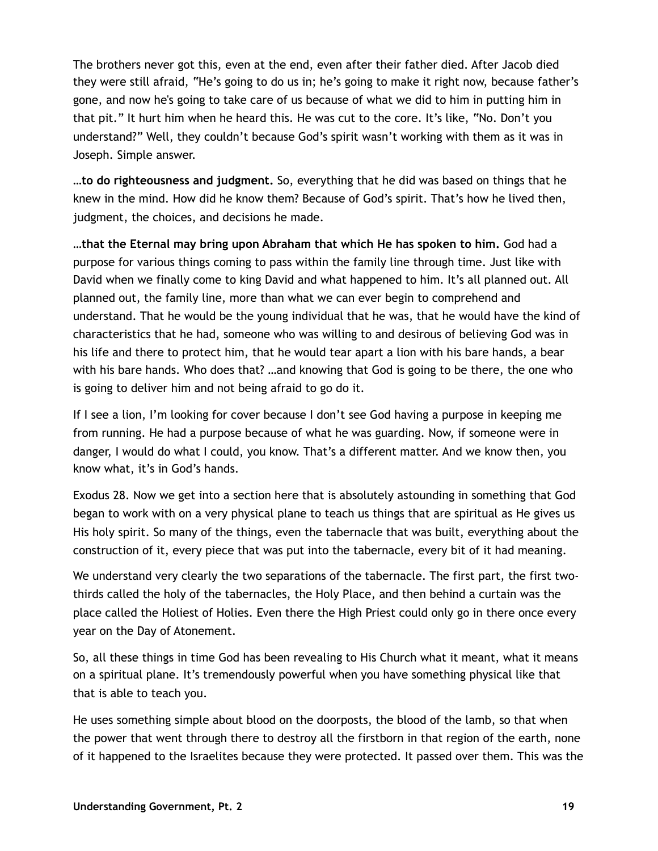The brothers never got this, even at the end, even after their father died. After Jacob died they were still afraid, "He's going to do us in; he's going to make it right now, because father's gone, and now he's going to take care of us because of what we did to him in putting him in that pit." It hurt him when he heard this. He was cut to the core. It's like, "No. Don't you understand?" Well, they couldn't because God's spirit wasn't working with them as it was in Joseph. Simple answer.

**…to do righteousness and judgment.** So, everything that he did was based on things that he knew in the mind. How did he know them? Because of God's spirit. That's how he lived then, judgment, the choices, and decisions he made.

**…that the Eternal may bring upon Abraham that which He has spoken to him.** God had a purpose for various things coming to pass within the family line through time. Just like with David when we finally come to king David and what happened to him. It's all planned out. All planned out, the family line, more than what we can ever begin to comprehend and understand. That he would be the young individual that he was, that he would have the kind of characteristics that he had, someone who was willing to and desirous of believing God was in his life and there to protect him, that he would tear apart a lion with his bare hands, a bear with his bare hands. Who does that? …and knowing that God is going to be there, the one who is going to deliver him and not being afraid to go do it.

If I see a lion, I'm looking for cover because I don't see God having a purpose in keeping me from running. He had a purpose because of what he was guarding. Now, if someone were in danger, I would do what I could, you know. That's a different matter. And we know then, you know what, it's in God's hands.

Exodus 28. Now we get into a section here that is absolutely astounding in something that God began to work with on a very physical plane to teach us things that are spiritual as He gives us His holy spirit. So many of the things, even the tabernacle that was built, everything about the construction of it, every piece that was put into the tabernacle, every bit of it had meaning.

We understand very clearly the two separations of the tabernacle. The first part, the first twothirds called the holy of the tabernacles, the Holy Place, and then behind a curtain was the place called the Holiest of Holies. Even there the High Priest could only go in there once every year on the Day of Atonement.

So, all these things in time God has been revealing to His Church what it meant, what it means on a spiritual plane. It's tremendously powerful when you have something physical like that that is able to teach you.

He uses something simple about blood on the doorposts, the blood of the lamb, so that when the power that went through there to destroy all the firstborn in that region of the earth, none of it happened to the Israelites because they were protected. It passed over them. This was the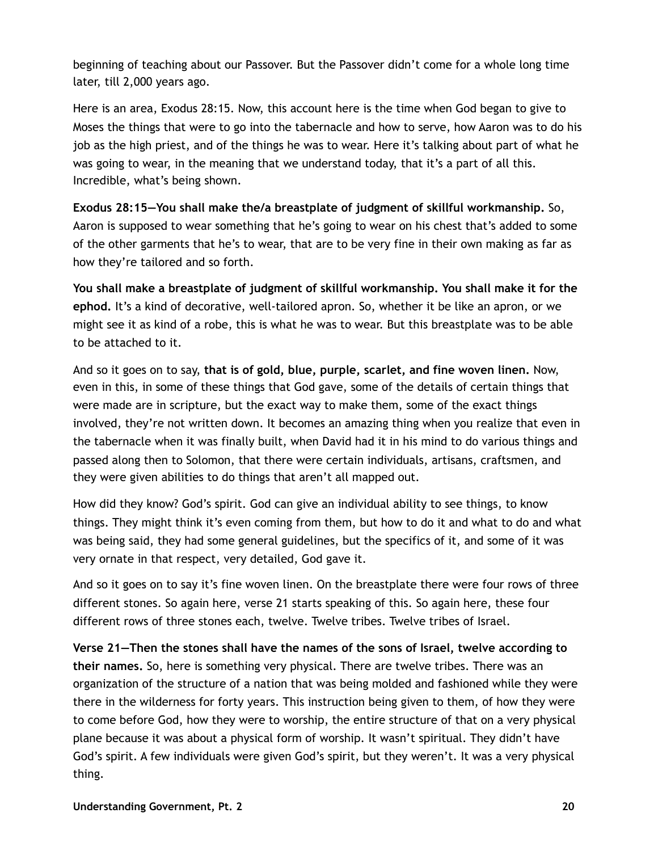beginning of teaching about our Passover. But the Passover didn't come for a whole long time later, till 2,000 years ago.

Here is an area, Exodus 28:15. Now, this account here is the time when God began to give to Moses the things that were to go into the tabernacle and how to serve, how Aaron was to do his job as the high priest, and of the things he was to wear. Here it's talking about part of what he was going to wear, in the meaning that we understand today, that it's a part of all this. Incredible, what's being shown.

**Exodus 28:15—You shall make the/a breastplate of judgment of skillful workmanship.** So, Aaron is supposed to wear something that he's going to wear on his chest that's added to some of the other garments that he's to wear, that are to be very fine in their own making as far as how they're tailored and so forth.

**You shall make a breastplate of judgment of skillful workmanship. You shall make it for the ephod.** It's a kind of decorative, well-tailored apron. So, whether it be like an apron, or we might see it as kind of a robe, this is what he was to wear. But this breastplate was to be able to be attached to it.

And so it goes on to say, **that is of gold, blue, purple, scarlet, and fine woven linen.** Now, even in this, in some of these things that God gave, some of the details of certain things that were made are in scripture, but the exact way to make them, some of the exact things involved, they're not written down. It becomes an amazing thing when you realize that even in the tabernacle when it was finally built, when David had it in his mind to do various things and passed along then to Solomon, that there were certain individuals, artisans, craftsmen, and they were given abilities to do things that aren't all mapped out.

How did they know? God's spirit. God can give an individual ability to see things, to know things. They might think it's even coming from them, but how to do it and what to do and what was being said, they had some general guidelines, but the specifics of it, and some of it was very ornate in that respect, very detailed, God gave it.

And so it goes on to say it's fine woven linen. On the breastplate there were four rows of three different stones. So again here, verse 21 starts speaking of this. So again here, these four different rows of three stones each, twelve. Twelve tribes. Twelve tribes of Israel.

**Verse 21—Then the stones shall have the names of the sons of Israel, twelve according to their names.** So, here is something very physical. There are twelve tribes. There was an organization of the structure of a nation that was being molded and fashioned while they were there in the wilderness for forty years. This instruction being given to them, of how they were to come before God, how they were to worship, the entire structure of that on a very physical plane because it was about a physical form of worship. It wasn't spiritual. They didn't have God's spirit. A few individuals were given God's spirit, but they weren't. It was a very physical thing.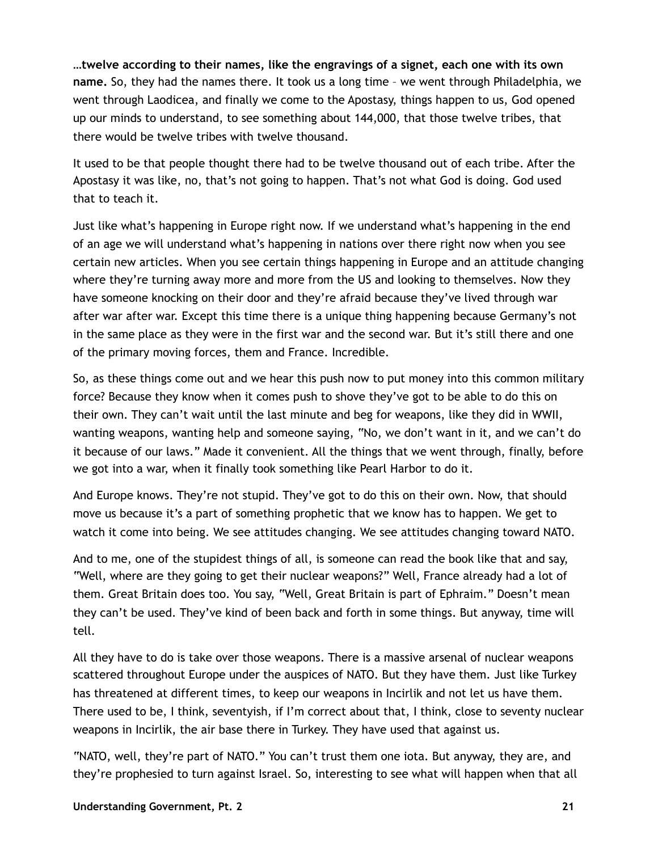**…twelve according to their names, like the engravings of a signet, each one with its own name.** So, they had the names there. It took us a long time – we went through Philadelphia, we went through Laodicea, and finally we come to the Apostasy, things happen to us, God opened up our minds to understand, to see something about 144,000, that those twelve tribes, that there would be twelve tribes with twelve thousand.

It used to be that people thought there had to be twelve thousand out of each tribe. After the Apostasy it was like, no, that's not going to happen. That's not what God is doing. God used that to teach it.

Just like what's happening in Europe right now. If we understand what's happening in the end of an age we will understand what's happening in nations over there right now when you see certain new articles. When you see certain things happening in Europe and an attitude changing where they're turning away more and more from the US and looking to themselves. Now they have someone knocking on their door and they're afraid because they've lived through war after war after war. Except this time there is a unique thing happening because Germany's not in the same place as they were in the first war and the second war. But it's still there and one of the primary moving forces, them and France. Incredible.

So, as these things come out and we hear this push now to put money into this common military force? Because they know when it comes push to shove they've got to be able to do this on their own. They can't wait until the last minute and beg for weapons, like they did in WWII, wanting weapons, wanting help and someone saying, "No, we don't want in it, and we can't do it because of our laws." Made it convenient. All the things that we went through, finally, before we got into a war, when it finally took something like Pearl Harbor to do it.

And Europe knows. They're not stupid. They've got to do this on their own. Now, that should move us because it's a part of something prophetic that we know has to happen. We get to watch it come into being. We see attitudes changing. We see attitudes changing toward NATO.

And to me, one of the stupidest things of all, is someone can read the book like that and say, "Well, where are they going to get their nuclear weapons?" Well, France already had a lot of them. Great Britain does too. You say, "Well, Great Britain is part of Ephraim." Doesn't mean they can't be used. They've kind of been back and forth in some things. But anyway, time will tell.

All they have to do is take over those weapons. There is a massive arsenal of nuclear weapons scattered throughout Europe under the auspices of NATO. But they have them. Just like Turkey has threatened at different times, to keep our weapons in Incirlik and not let us have them. There used to be, I think, seventyish, if I'm correct about that, I think, close to seventy nuclear weapons in Incirlik, the air base there in Turkey. They have used that against us.

"NATO, well, they're part of NATO." You can't trust them one iota. But anyway, they are, and they're prophesied to turn against Israel. So, interesting to see what will happen when that all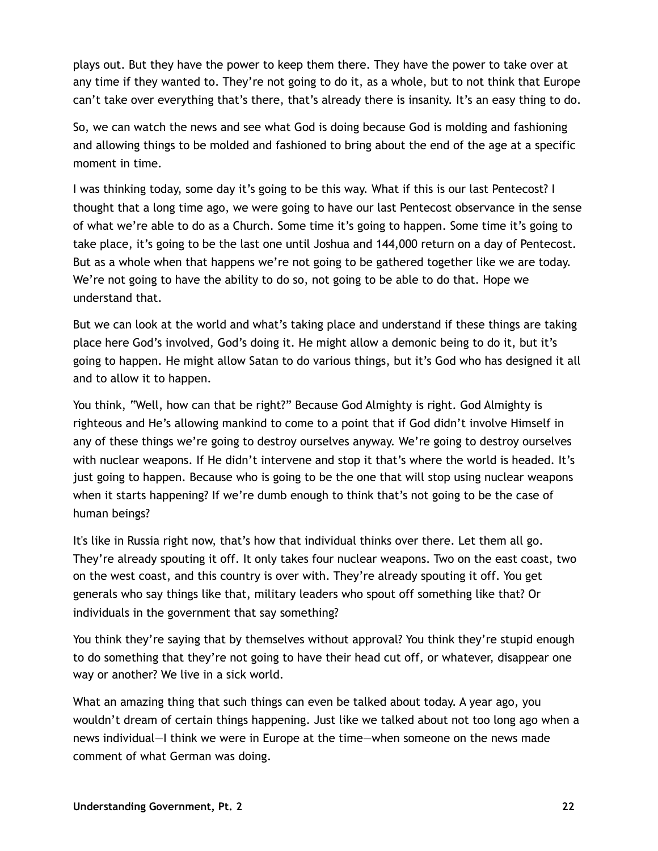plays out. But they have the power to keep them there. They have the power to take over at any time if they wanted to. They're not going to do it, as a whole, but to not think that Europe can't take over everything that's there, that's already there is insanity. It's an easy thing to do.

So, we can watch the news and see what God is doing because God is molding and fashioning and allowing things to be molded and fashioned to bring about the end of the age at a specific moment in time.

I was thinking today, some day it's going to be this way. What if this is our last Pentecost? I thought that a long time ago, we were going to have our last Pentecost observance in the sense of what we're able to do as a Church. Some time it's going to happen. Some time it's going to take place, it's going to be the last one until Joshua and 144,000 return on a day of Pentecost. But as a whole when that happens we're not going to be gathered together like we are today. We're not going to have the ability to do so, not going to be able to do that. Hope we understand that.

But we can look at the world and what's taking place and understand if these things are taking place here God's involved, God's doing it. He might allow a demonic being to do it, but it's going to happen. He might allow Satan to do various things, but it's God who has designed it all and to allow it to happen.

You think, "Well, how can that be right?" Because God Almighty is right. God Almighty is righteous and He's allowing mankind to come to a point that if God didn't involve Himself in any of these things we're going to destroy ourselves anyway. We're going to destroy ourselves with nuclear weapons. If He didn't intervene and stop it that's where the world is headed. It's just going to happen. Because who is going to be the one that will stop using nuclear weapons when it starts happening? If we're dumb enough to think that's not going to be the case of human beings?

It's like in Russia right now, that's how that individual thinks over there. Let them all go. They're already spouting it off. It only takes four nuclear weapons. Two on the east coast, two on the west coast, and this country is over with. They're already spouting it off. You get generals who say things like that, military leaders who spout off something like that? Or individuals in the government that say something?

You think they're saying that by themselves without approval? You think they're stupid enough to do something that they're not going to have their head cut off, or whatever, disappear one way or another? We live in a sick world.

What an amazing thing that such things can even be talked about today. A year ago, you wouldn't dream of certain things happening. Just like we talked about not too long ago when a news individual—I think we were in Europe at the time—when someone on the news made comment of what German was doing.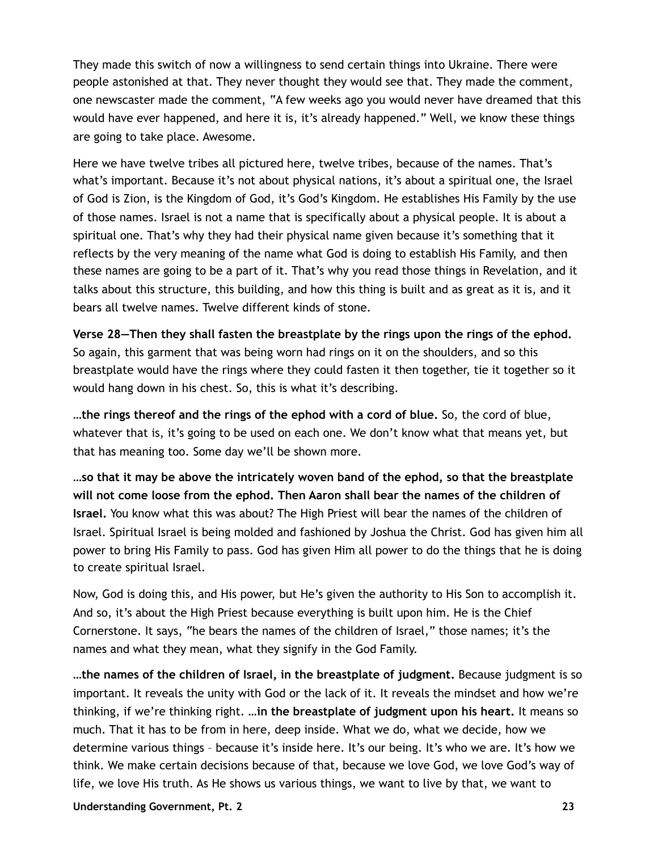They made this switch of now a willingness to send certain things into Ukraine. There were people astonished at that. They never thought they would see that. They made the comment, one newscaster made the comment, "A few weeks ago you would never have dreamed that this would have ever happened, and here it is, it's already happened." Well, we know these things are going to take place. Awesome.

Here we have twelve tribes all pictured here, twelve tribes, because of the names. That's what's important. Because it's not about physical nations, it's about a spiritual one, the Israel of God is Zion, is the Kingdom of God, it's God's Kingdom. He establishes His Family by the use of those names. Israel is not a name that is specifically about a physical people. It is about a spiritual one. That's why they had their physical name given because it's something that it reflects by the very meaning of the name what God is doing to establish His Family, and then these names are going to be a part of it. That's why you read those things in Revelation, and it talks about this structure, this building, and how this thing is built and as great as it is, and it bears all twelve names. Twelve different kinds of stone.

**Verse 28—Then they shall fasten the breastplate by the rings upon the rings of the ephod.** So again, this garment that was being worn had rings on it on the shoulders, and so this breastplate would have the rings where they could fasten it then together, tie it together so it would hang down in his chest. So, this is what it's describing.

**…the rings thereof and the rings of the ephod with a cord of blue.** So, the cord of blue, whatever that is, it's going to be used on each one. We don't know what that means yet, but that has meaning too. Some day we'll be shown more.

**…so that it may be above the intricately woven band of the ephod, so that the breastplate will not come loose from the ephod. Then Aaron shall bear the names of the children of Israel.** You know what this was about? The High Priest will bear the names of the children of Israel. Spiritual Israel is being molded and fashioned by Joshua the Christ. God has given him all power to bring His Family to pass. God has given Him all power to do the things that he is doing to create spiritual Israel.

Now, God is doing this, and His power, but He's given the authority to His Son to accomplish it. And so, it's about the High Priest because everything is built upon him. He is the Chief Cornerstone. It says, "he bears the names of the children of Israel," those names; it's the names and what they mean, what they signify in the God Family.

**…the names of the children of Israel, in the breastplate of judgment.** Because judgment is so important. It reveals the unity with God or the lack of it. It reveals the mindset and how we're thinking, if we're thinking right. **…in the breastplate of judgment upon his heart.** It means so much. That it has to be from in here, deep inside. What we do, what we decide, how we determine various things – because it's inside here. It's our being. It's who we are. It's how we think. We make certain decisions because of that, because we love God, we love God's way of life, we love His truth. As He shows us various things, we want to live by that, we want to

**Understanding Government, Pt. 2 23**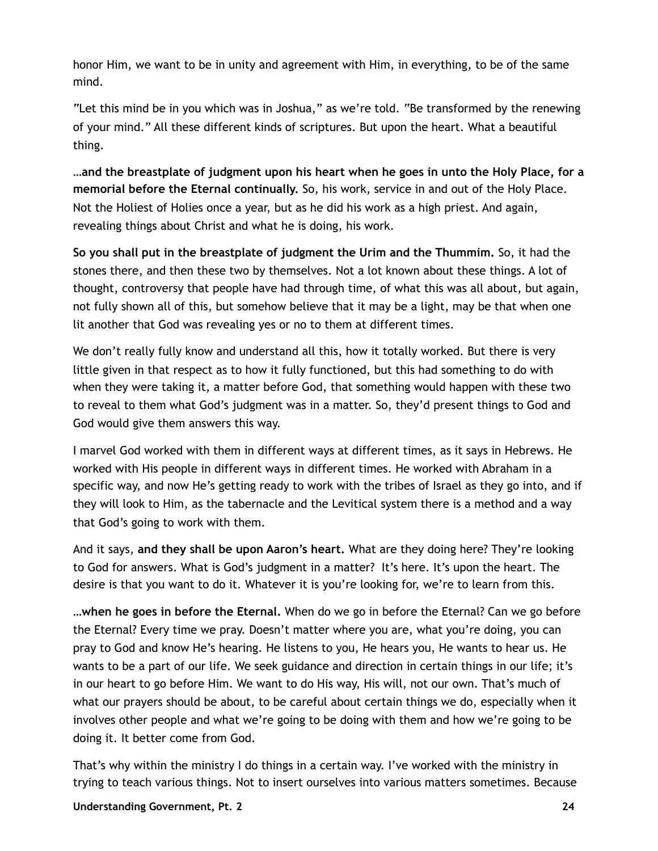honor Him, we want to be in unity and agreement with Him, in everything, to be of the same mind.

"Let this mind be in you which was in Joshua," as we're told. "Be transformed by the renewing of your mind." All these different kinds of scriptures. But upon the heart. What a beautiful thing.

**…and the breastplate of judgment upon his heart when he goes in unto the Holy Place, for a memorial before the Eternal continually.** So, his work, service in and out of the Holy Place. Not the Holiest of Holies once a year, but as he did his work as a high priest. And again, revealing things about Christ and what he is doing, his work.

**So you shall put in the breastplate of judgment the Urim and the Thummim.** So, it had the stones there, and then these two by themselves. Not a lot known about these things. A lot of thought, controversy that people have had through time, of what this was all about, but again, not fully shown all of this, but somehow believe that it may be a light, may be that when one lit another that God was revealing yes or no to them at different times.

We don't really fully know and understand all this, how it totally worked. But there is very little given in that respect as to how it fully functioned, but this had something to do with when they were taking it, a matter before God, that something would happen with these two to reveal to them what God's judgment was in a matter. So, they'd present things to God and God would give them answers this way.

I marvel God worked with them in different ways at different times, as it says in Hebrews. He worked with His people in different ways in different times. He worked with Abraham in a specific way, and now He's getting ready to work with the tribes of Israel as they go into, and if they will look to Him, as the tabernacle and the Levitical system there is a method and a way that God's going to work with them.

And it says, **and they shall be upon Aaron's heart.** What are they doing here? They're looking to God for answers. What is God's judgment in a matter? It's here. It's upon the heart. The desire is that you want to do it. Whatever it is you're looking for, we're to learn from this.

**…when he goes in before the Eternal.** When do we go in before the Eternal? Can we go before the Eternal? Every time we pray. Doesn't matter where you are, what you're doing, you can pray to God and know He's hearing. He listens to you, He hears you, He wants to hear us. He wants to be a part of our life. We seek guidance and direction in certain things in our life; it's in our heart to go before Him. We want to do His way, His will, not our own. That's much of what our prayers should be about, to be careful about certain things we do, especially when it involves other people and what we're going to be doing with them and how we're going to be doing it. It better come from God.

That's why within the ministry I do things in a certain way. I've worked with the ministry in trying to teach various things. Not to insert ourselves into various matters sometimes. Because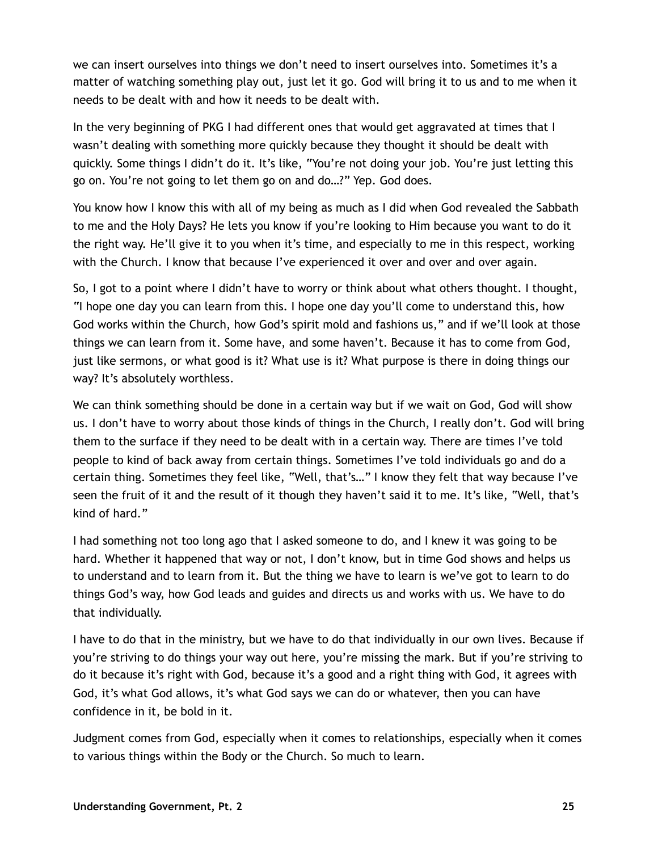we can insert ourselves into things we don't need to insert ourselves into. Sometimes it's a matter of watching something play out, just let it go. God will bring it to us and to me when it needs to be dealt with and how it needs to be dealt with.

In the very beginning of PKG I had different ones that would get aggravated at times that I wasn't dealing with something more quickly because they thought it should be dealt with quickly. Some things I didn't do it. It's like, "You're not doing your job. You're just letting this go on. You're not going to let them go on and do…?" Yep. God does.

You know how I know this with all of my being as much as I did when God revealed the Sabbath to me and the Holy Days? He lets you know if you're looking to Him because you want to do it the right way. He'll give it to you when it's time, and especially to me in this respect, working with the Church. I know that because I've experienced it over and over and over again.

So, I got to a point where I didn't have to worry or think about what others thought. I thought, "I hope one day you can learn from this. I hope one day you'll come to understand this, how God works within the Church, how God's spirit mold and fashions us," and if we'll look at those things we can learn from it. Some have, and some haven't. Because it has to come from God, just like sermons, or what good is it? What use is it? What purpose is there in doing things our way? It's absolutely worthless.

We can think something should be done in a certain way but if we wait on God, God will show us. I don't have to worry about those kinds of things in the Church, I really don't. God will bring them to the surface if they need to be dealt with in a certain way. There are times I've told people to kind of back away from certain things. Sometimes I've told individuals go and do a certain thing. Sometimes they feel like, "Well, that's…" I know they felt that way because I've seen the fruit of it and the result of it though they haven't said it to me. It's like, "Well, that's kind of hard."

I had something not too long ago that I asked someone to do, and I knew it was going to be hard. Whether it happened that way or not, I don't know, but in time God shows and helps us to understand and to learn from it. But the thing we have to learn is we've got to learn to do things God's way, how God leads and guides and directs us and works with us. We have to do that individually.

I have to do that in the ministry, but we have to do that individually in our own lives. Because if you're striving to do things your way out here, you're missing the mark. But if you're striving to do it because it's right with God, because it's a good and a right thing with God, it agrees with God, it's what God allows, it's what God says we can do or whatever, then you can have confidence in it, be bold in it.

Judgment comes from God, especially when it comes to relationships, especially when it comes to various things within the Body or the Church. So much to learn.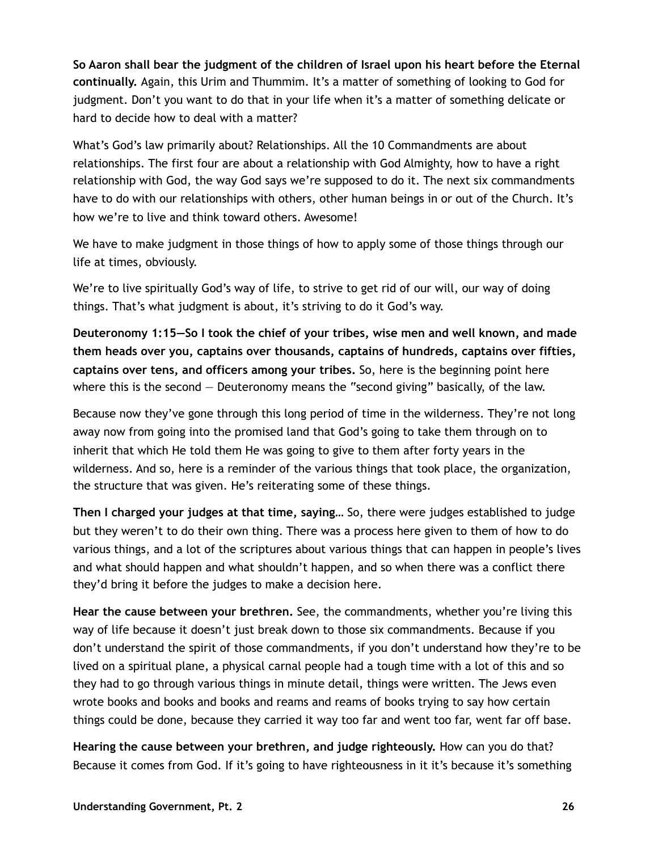**So Aaron shall bear the judgment of the children of Israel upon his heart before the Eternal continually.** Again, this Urim and Thummim. It's a matter of something of looking to God for judgment. Don't you want to do that in your life when it's a matter of something delicate or hard to decide how to deal with a matter?

What's God's law primarily about? Relationships. All the 10 Commandments are about relationships. The first four are about a relationship with God Almighty, how to have a right relationship with God, the way God says we're supposed to do it. The next six commandments have to do with our relationships with others, other human beings in or out of the Church. It's how we're to live and think toward others. Awesome!

We have to make judgment in those things of how to apply some of those things through our life at times, obviously.

We're to live spiritually God's way of life, to strive to get rid of our will, our way of doing things. That's what judgment is about, it's striving to do it God's way.

**Deuteronomy 1:15—So I took the chief of your tribes, wise men and well known, and made them heads over you, captains over thousands, captains of hundreds, captains over fifties, captains over tens, and officers among your tribes.** So, here is the beginning point here where this is the second  $-$  Deuteronomy means the "second giving" basically, of the law.

Because now they've gone through this long period of time in the wilderness. They're not long away now from going into the promised land that God's going to take them through on to inherit that which He told them He was going to give to them after forty years in the wilderness. And so, here is a reminder of the various things that took place, the organization, the structure that was given. He's reiterating some of these things.

**Then I charged your judges at that time, saying…** So, there were judges established to judge but they weren't to do their own thing. There was a process here given to them of how to do various things, and a lot of the scriptures about various things that can happen in people's lives and what should happen and what shouldn't happen, and so when there was a conflict there they'd bring it before the judges to make a decision here.

**Hear the cause between your brethren.** See, the commandments, whether you're living this way of life because it doesn't just break down to those six commandments. Because if you don't understand the spirit of those commandments, if you don't understand how they're to be lived on a spiritual plane, a physical carnal people had a tough time with a lot of this and so they had to go through various things in minute detail, things were written. The Jews even wrote books and books and books and reams and reams of books trying to say how certain things could be done, because they carried it way too far and went too far, went far off base.

**Hearing the cause between your brethren, and judge righteously.** How can you do that? Because it comes from God. If it's going to have righteousness in it it's because it's something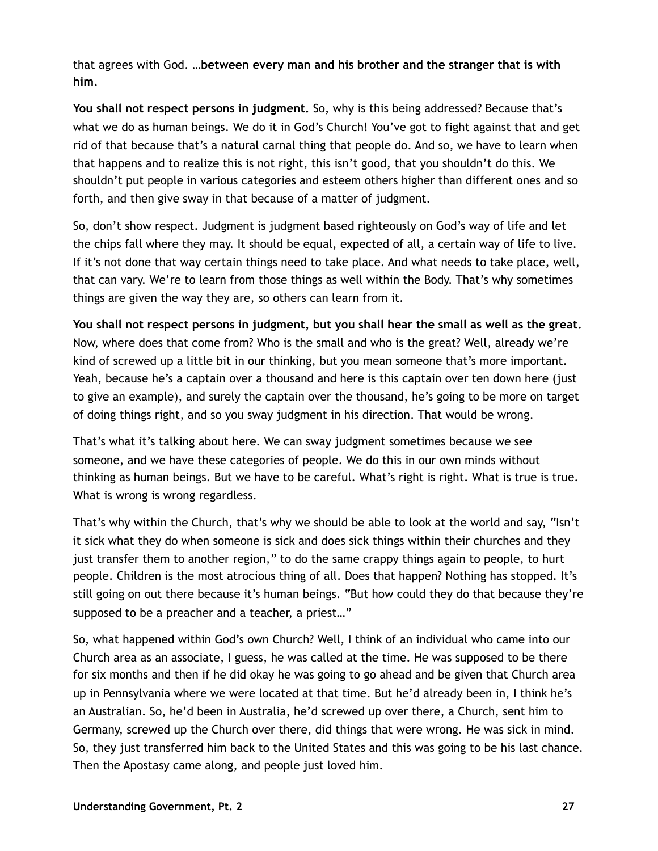that agrees with God. **…between every man and his brother and the stranger that is with him.**

**You shall not respect persons in judgment.** So, why is this being addressed? Because that's what we do as human beings. We do it in God's Church! You've got to fight against that and get rid of that because that's a natural carnal thing that people do. And so, we have to learn when that happens and to realize this is not right, this isn't good, that you shouldn't do this. We shouldn't put people in various categories and esteem others higher than different ones and so forth, and then give sway in that because of a matter of judgment.

So, don't show respect. Judgment is judgment based righteously on God's way of life and let the chips fall where they may. It should be equal, expected of all, a certain way of life to live. If it's not done that way certain things need to take place. And what needs to take place, well, that can vary. We're to learn from those things as well within the Body. That's why sometimes things are given the way they are, so others can learn from it.

**You shall not respect persons in judgment, but you shall hear the small as well as the great.** Now, where does that come from? Who is the small and who is the great? Well, already we're kind of screwed up a little bit in our thinking, but you mean someone that's more important. Yeah, because he's a captain over a thousand and here is this captain over ten down here (just to give an example), and surely the captain over the thousand, he's going to be more on target of doing things right, and so you sway judgment in his direction. That would be wrong.

That's what it's talking about here. We can sway judgment sometimes because we see someone, and we have these categories of people. We do this in our own minds without thinking as human beings. But we have to be careful. What's right is right. What is true is true. What is wrong is wrong regardless.

That's why within the Church, that's why we should be able to look at the world and say, "Isn't it sick what they do when someone is sick and does sick things within their churches and they just transfer them to another region," to do the same crappy things again to people, to hurt people. Children is the most atrocious thing of all. Does that happen? Nothing has stopped. It's still going on out there because it's human beings. "But how could they do that because they're supposed to be a preacher and a teacher, a priest…"

So, what happened within God's own Church? Well, I think of an individual who came into our Church area as an associate, I guess, he was called at the time. He was supposed to be there for six months and then if he did okay he was going to go ahead and be given that Church area up in Pennsylvania where we were located at that time. But he'd already been in, I think he's an Australian. So, he'd been in Australia, he'd screwed up over there, a Church, sent him to Germany, screwed up the Church over there, did things that were wrong. He was sick in mind. So, they just transferred him back to the United States and this was going to be his last chance. Then the Apostasy came along, and people just loved him.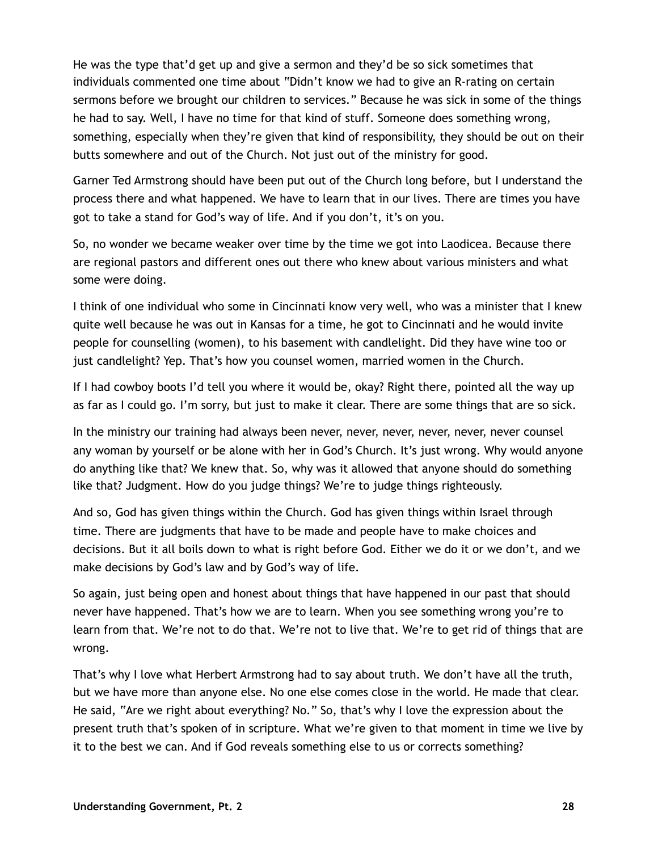He was the type that'd get up and give a sermon and they'd be so sick sometimes that individuals commented one time about "Didn't know we had to give an R-rating on certain sermons before we brought our children to services." Because he was sick in some of the things he had to say. Well, I have no time for that kind of stuff. Someone does something wrong, something, especially when they're given that kind of responsibility, they should be out on their butts somewhere and out of the Church. Not just out of the ministry for good.

Garner Ted Armstrong should have been put out of the Church long before, but I understand the process there and what happened. We have to learn that in our lives. There are times you have got to take a stand for God's way of life. And if you don't, it's on you.

So, no wonder we became weaker over time by the time we got into Laodicea. Because there are regional pastors and different ones out there who knew about various ministers and what some were doing.

I think of one individual who some in Cincinnati know very well, who was a minister that I knew quite well because he was out in Kansas for a time, he got to Cincinnati and he would invite people for counselling (women), to his basement with candlelight. Did they have wine too or just candlelight? Yep. That's how you counsel women, married women in the Church.

If I had cowboy boots I'd tell you where it would be, okay? Right there, pointed all the way up as far as I could go. I'm sorry, but just to make it clear. There are some things that are so sick.

In the ministry our training had always been never, never, never, never, never, never counsel any woman by yourself or be alone with her in God's Church. It's just wrong. Why would anyone do anything like that? We knew that. So, why was it allowed that anyone should do something like that? Judgment. How do you judge things? We're to judge things righteously.

And so, God has given things within the Church. God has given things within Israel through time. There are judgments that have to be made and people have to make choices and decisions. But it all boils down to what is right before God. Either we do it or we don't, and we make decisions by God's law and by God's way of life.

So again, just being open and honest about things that have happened in our past that should never have happened. That's how we are to learn. When you see something wrong you're to learn from that. We're not to do that. We're not to live that. We're to get rid of things that are wrong.

That's why I love what Herbert Armstrong had to say about truth. We don't have all the truth, but we have more than anyone else. No one else comes close in the world. He made that clear. He said, "Are we right about everything? No." So, that's why I love the expression about the present truth that's spoken of in scripture. What we're given to that moment in time we live by it to the best we can. And if God reveals something else to us or corrects something?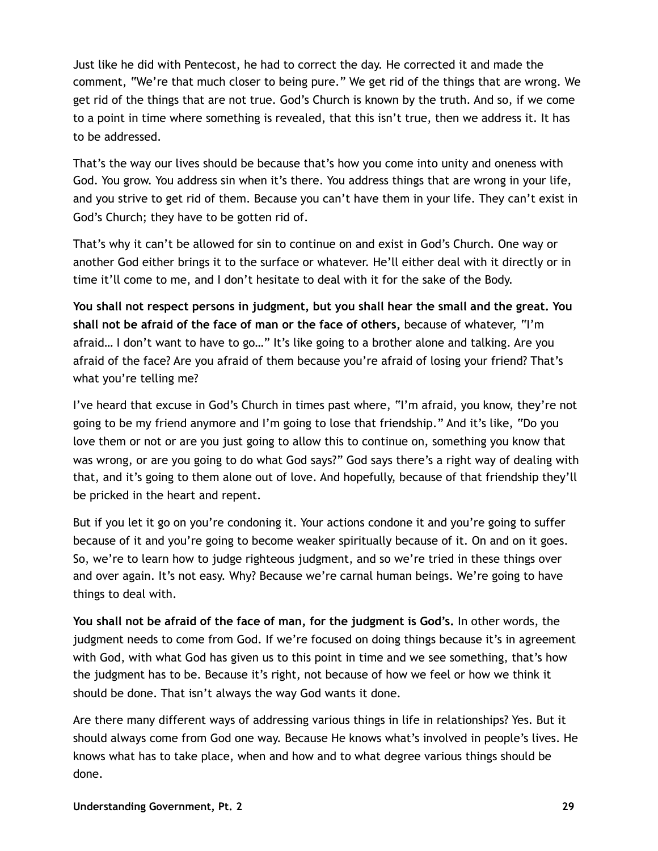Just like he did with Pentecost, he had to correct the day. He corrected it and made the comment, "We're that much closer to being pure." We get rid of the things that are wrong. We get rid of the things that are not true. God's Church is known by the truth. And so, if we come to a point in time where something is revealed, that this isn't true, then we address it. It has to be addressed.

That's the way our lives should be because that's how you come into unity and oneness with God. You grow. You address sin when it's there. You address things that are wrong in your life, and you strive to get rid of them. Because you can't have them in your life. They can't exist in God's Church; they have to be gotten rid of.

That's why it can't be allowed for sin to continue on and exist in God's Church. One way or another God either brings it to the surface or whatever. He'll either deal with it directly or in time it'll come to me, and I don't hesitate to deal with it for the sake of the Body.

**You shall not respect persons in judgment, but you shall hear the small and the great. You shall not be afraid of the face of man or the face of others,** because of whatever, "I'm afraid… I don't want to have to go…" It's like going to a brother alone and talking. Are you afraid of the face? Are you afraid of them because you're afraid of losing your friend? That's what you're telling me?

I've heard that excuse in God's Church in times past where, "I'm afraid, you know, they're not going to be my friend anymore and I'm going to lose that friendship." And it's like, "Do you love them or not or are you just going to allow this to continue on, something you know that was wrong, or are you going to do what God says?" God says there's a right way of dealing with that, and it's going to them alone out of love. And hopefully, because of that friendship they'll be pricked in the heart and repent.

But if you let it go on you're condoning it. Your actions condone it and you're going to suffer because of it and you're going to become weaker spiritually because of it. On and on it goes. So, we're to learn how to judge righteous judgment, and so we're tried in these things over and over again. It's not easy. Why? Because we're carnal human beings. We're going to have things to deal with.

**You shall not be afraid of the face of man, for the judgment is God's.** In other words, the judgment needs to come from God. If we're focused on doing things because it's in agreement with God, with what God has given us to this point in time and we see something, that's how the judgment has to be. Because it's right, not because of how we feel or how we think it should be done. That isn't always the way God wants it done.

Are there many different ways of addressing various things in life in relationships? Yes. But it should always come from God one way. Because He knows what's involved in people's lives. He knows what has to take place, when and how and to what degree various things should be done.